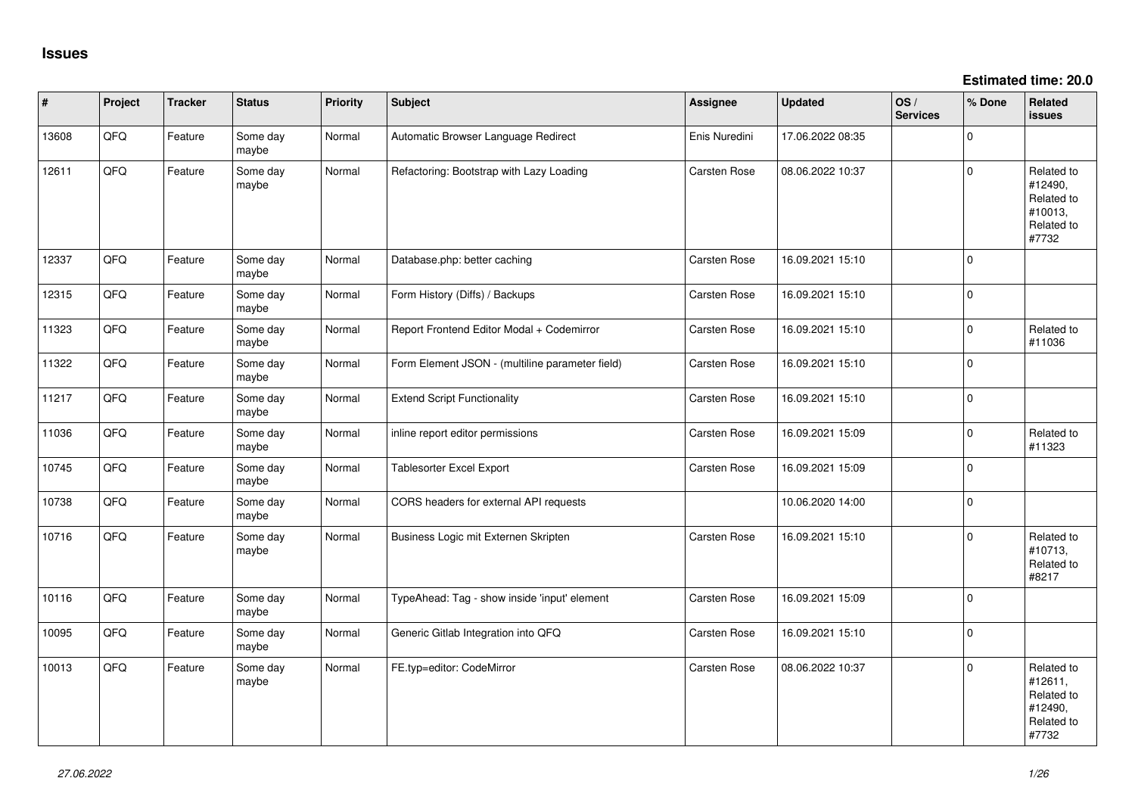**Estimated time: 20.0**

| #     | Project | <b>Tracker</b> | <b>Status</b>     | Priority | <b>Subject</b>                                  | Assignee      | <b>Updated</b>   | OS/<br><b>Services</b> | % Done   | Related<br><b>issues</b>                                              |
|-------|---------|----------------|-------------------|----------|-------------------------------------------------|---------------|------------------|------------------------|----------|-----------------------------------------------------------------------|
| 13608 | QFQ     | Feature        | Some day<br>maybe | Normal   | Automatic Browser Language Redirect             | Enis Nuredini | 17.06.2022 08:35 |                        | $\Omega$ |                                                                       |
| 12611 | QFQ     | Feature        | Some day<br>maybe | Normal   | Refactoring: Bootstrap with Lazy Loading        | Carsten Rose  | 08.06.2022 10:37 |                        | $\Omega$ | Related to<br>#12490,<br>Related to<br>#10013,<br>Related to<br>#7732 |
| 12337 | QFQ     | Feature        | Some day<br>maybe | Normal   | Database.php: better caching                    | Carsten Rose  | 16.09.2021 15:10 |                        | $\Omega$ |                                                                       |
| 12315 | QFQ     | Feature        | Some day<br>maybe | Normal   | Form History (Diffs) / Backups                  | Carsten Rose  | 16.09.2021 15:10 |                        | $\Omega$ |                                                                       |
| 11323 | QFQ     | Feature        | Some day<br>maybe | Normal   | Report Frontend Editor Modal + Codemirror       | Carsten Rose  | 16.09.2021 15:10 |                        | $\Omega$ | Related to<br>#11036                                                  |
| 11322 | QFQ     | Feature        | Some day<br>maybe | Normal   | Form Element JSON - (multiline parameter field) | Carsten Rose  | 16.09.2021 15:10 |                        | $\Omega$ |                                                                       |
| 11217 | QFQ     | Feature        | Some day<br>maybe | Normal   | <b>Extend Script Functionality</b>              | Carsten Rose  | 16.09.2021 15:10 |                        | $\Omega$ |                                                                       |
| 11036 | QFQ     | Feature        | Some day<br>maybe | Normal   | inline report editor permissions                | Carsten Rose  | 16.09.2021 15:09 |                        | $\Omega$ | Related to<br>#11323                                                  |
| 10745 | QFQ     | Feature        | Some day<br>maybe | Normal   | Tablesorter Excel Export                        | Carsten Rose  | 16.09.2021 15:09 |                        | $\Omega$ |                                                                       |
| 10738 | QFQ     | Feature        | Some day<br>maybe | Normal   | CORS headers for external API requests          |               | 10.06.2020 14:00 |                        | $\Omega$ |                                                                       |
| 10716 | QFQ     | Feature        | Some day<br>maybe | Normal   | Business Logic mit Externen Skripten            | Carsten Rose  | 16.09.2021 15:10 |                        | $\Omega$ | Related to<br>#10713,<br>Related to<br>#8217                          |
| 10116 | QFQ     | Feature        | Some day<br>maybe | Normal   | TypeAhead: Tag - show inside 'input' element    | Carsten Rose  | 16.09.2021 15:09 |                        | $\Omega$ |                                                                       |
| 10095 | QFQ     | Feature        | Some day<br>maybe | Normal   | Generic Gitlab Integration into QFQ             | Carsten Rose  | 16.09.2021 15:10 |                        | $\Omega$ |                                                                       |
| 10013 | QFQ     | Feature        | Some day<br>maybe | Normal   | FE.typ=editor: CodeMirror                       | Carsten Rose  | 08.06.2022 10:37 |                        | $\Omega$ | Related to<br>#12611,<br>Related to<br>#12490,<br>Related to<br>#7732 |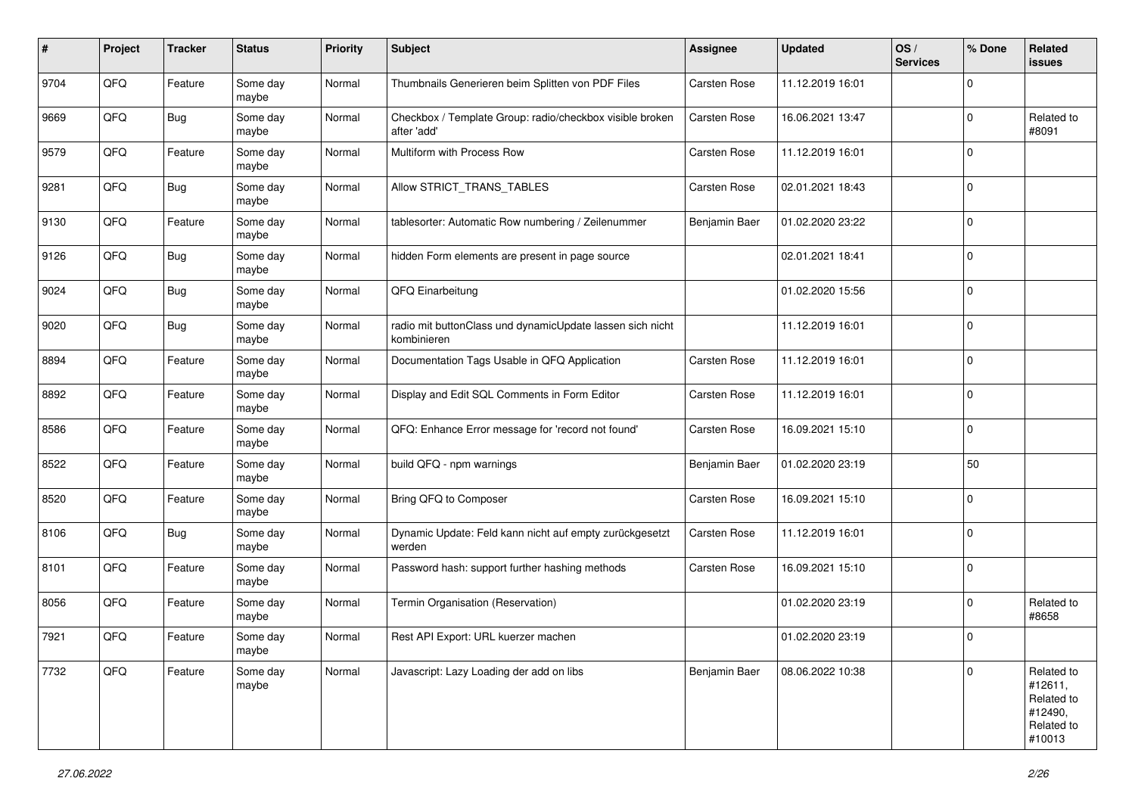| #    | Project | <b>Tracker</b> | <b>Status</b>     | <b>Priority</b> | <b>Subject</b>                                                           | Assignee            | <b>Updated</b>   | OS/<br><b>Services</b> | % Done   | Related<br><b>issues</b>                                               |
|------|---------|----------------|-------------------|-----------------|--------------------------------------------------------------------------|---------------------|------------------|------------------------|----------|------------------------------------------------------------------------|
| 9704 | QFQ     | Feature        | Some day<br>maybe | Normal          | Thumbnails Generieren beim Splitten von PDF Files                        | Carsten Rose        | 11.12.2019 16:01 |                        | 0        |                                                                        |
| 9669 | QFQ     | Bug            | Some day<br>maybe | Normal          | Checkbox / Template Group: radio/checkbox visible broken<br>after 'add'  | <b>Carsten Rose</b> | 16.06.2021 13:47 |                        | $\Omega$ | Related to<br>#8091                                                    |
| 9579 | QFQ     | Feature        | Some day<br>maybe | Normal          | Multiform with Process Row                                               | Carsten Rose        | 11.12.2019 16:01 |                        | 0        |                                                                        |
| 9281 | QFQ     | <b>Bug</b>     | Some day<br>maybe | Normal          | Allow STRICT_TRANS_TABLES                                                | <b>Carsten Rose</b> | 02.01.2021 18:43 |                        | 0        |                                                                        |
| 9130 | QFQ     | Feature        | Some day<br>maybe | Normal          | tablesorter: Automatic Row numbering / Zeilenummer                       | Benjamin Baer       | 01.02.2020 23:22 |                        | $\Omega$ |                                                                        |
| 9126 | QFQ     | <b>Bug</b>     | Some day<br>maybe | Normal          | hidden Form elements are present in page source                          |                     | 02.01.2021 18:41 |                        | $\Omega$ |                                                                        |
| 9024 | QFQ     | <b>Bug</b>     | Some day<br>maybe | Normal          | QFQ Einarbeitung                                                         |                     | 01.02.2020 15:56 |                        | $\Omega$ |                                                                        |
| 9020 | QFQ     | <b>Bug</b>     | Some day<br>maybe | Normal          | radio mit buttonClass und dynamicUpdate lassen sich nicht<br>kombinieren |                     | 11.12.2019 16:01 |                        | 0        |                                                                        |
| 8894 | QFQ     | Feature        | Some day<br>maybe | Normal          | Documentation Tags Usable in QFQ Application                             | Carsten Rose        | 11.12.2019 16:01 |                        | 0        |                                                                        |
| 8892 | QFQ     | Feature        | Some day<br>maybe | Normal          | Display and Edit SQL Comments in Form Editor                             | Carsten Rose        | 11.12.2019 16:01 |                        | 0        |                                                                        |
| 8586 | QFQ     | Feature        | Some day<br>maybe | Normal          | QFQ: Enhance Error message for 'record not found'                        | <b>Carsten Rose</b> | 16.09.2021 15:10 |                        | 0        |                                                                        |
| 8522 | QFQ     | Feature        | Some day<br>maybe | Normal          | build QFQ - npm warnings                                                 | Benjamin Baer       | 01.02.2020 23:19 |                        | 50       |                                                                        |
| 8520 | QFQ     | Feature        | Some day<br>maybe | Normal          | Bring QFQ to Composer                                                    | Carsten Rose        | 16.09.2021 15:10 |                        | $\Omega$ |                                                                        |
| 8106 | QFQ     | <b>Bug</b>     | Some day<br>maybe | Normal          | Dynamic Update: Feld kann nicht auf empty zurückgesetzt<br>werden        | <b>Carsten Rose</b> | 11.12.2019 16:01 |                        | $\Omega$ |                                                                        |
| 8101 | QFQ     | Feature        | Some day<br>maybe | Normal          | Password hash: support further hashing methods                           | Carsten Rose        | 16.09.2021 15:10 |                        | 0        |                                                                        |
| 8056 | QFQ     | Feature        | Some day<br>maybe | Normal          | Termin Organisation (Reservation)                                        |                     | 01.02.2020 23:19 |                        | $\Omega$ | Related to<br>#8658                                                    |
| 7921 | QFQ     | Feature        | Some day<br>maybe | Normal          | Rest API Export: URL kuerzer machen                                      |                     | 01.02.2020 23:19 |                        | $\Omega$ |                                                                        |
| 7732 | QFQ     | Feature        | Some day<br>maybe | Normal          | Javascript: Lazy Loading der add on libs                                 | Benjamin Baer       | 08.06.2022 10:38 |                        | 0        | Related to<br>#12611,<br>Related to<br>#12490,<br>Related to<br>#10013 |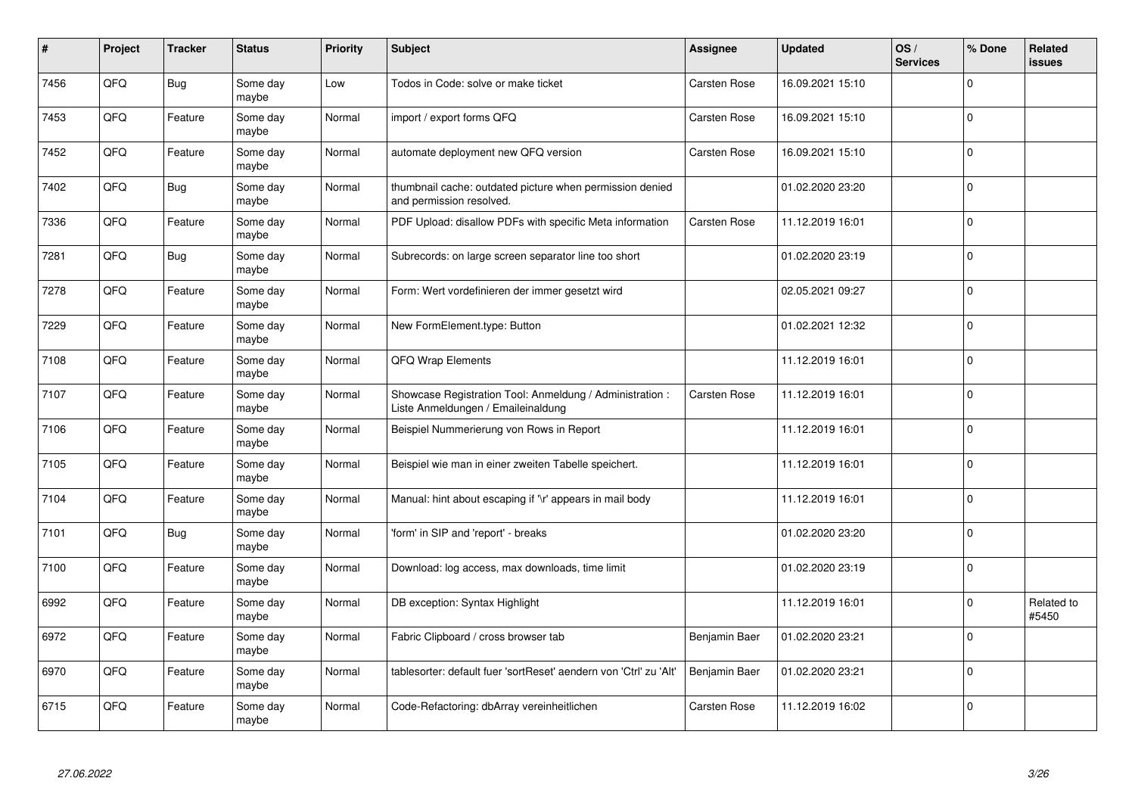| #    | Project | <b>Tracker</b> | <b>Status</b>     | Priority | <b>Subject</b>                                                                                 | Assignee            | <b>Updated</b>   | OS/<br><b>Services</b> | % Done   | Related<br><b>issues</b> |
|------|---------|----------------|-------------------|----------|------------------------------------------------------------------------------------------------|---------------------|------------------|------------------------|----------|--------------------------|
| 7456 | QFQ     | <b>Bug</b>     | Some day<br>maybe | Low      | Todos in Code: solve or make ticket                                                            | <b>Carsten Rose</b> | 16.09.2021 15:10 |                        | $\Omega$ |                          |
| 7453 | QFQ     | Feature        | Some day<br>maybe | Normal   | import / export forms QFQ                                                                      | Carsten Rose        | 16.09.2021 15:10 |                        | $\Omega$ |                          |
| 7452 | QFQ     | Feature        | Some day<br>maybe | Normal   | automate deployment new QFQ version                                                            | <b>Carsten Rose</b> | 16.09.2021 15:10 |                        | 0        |                          |
| 7402 | QFQ     | <b>Bug</b>     | Some day<br>maybe | Normal   | thumbnail cache: outdated picture when permission denied<br>and permission resolved.           |                     | 01.02.2020 23:20 |                        | $\Omega$ |                          |
| 7336 | QFQ     | Feature        | Some day<br>maybe | Normal   | PDF Upload: disallow PDFs with specific Meta information                                       | <b>Carsten Rose</b> | 11.12.2019 16:01 |                        | $\Omega$ |                          |
| 7281 | QFQ     | Bug            | Some day<br>maybe | Normal   | Subrecords: on large screen separator line too short                                           |                     | 01.02.2020 23:19 |                        | 0        |                          |
| 7278 | QFQ     | Feature        | Some day<br>maybe | Normal   | Form: Wert vordefinieren der immer gesetzt wird                                                |                     | 02.05.2021 09:27 |                        | $\Omega$ |                          |
| 7229 | QFQ     | Feature        | Some day<br>maybe | Normal   | New FormElement.type: Button                                                                   |                     | 01.02.2021 12:32 |                        | $\Omega$ |                          |
| 7108 | QFQ     | Feature        | Some day<br>maybe | Normal   | <b>QFQ Wrap Elements</b>                                                                       |                     | 11.12.2019 16:01 |                        | $\Omega$ |                          |
| 7107 | QFQ     | Feature        | Some day<br>maybe | Normal   | Showcase Registration Tool: Anmeldung / Administration :<br>Liste Anmeldungen / Emaileinaldung | Carsten Rose        | 11.12.2019 16:01 |                        | 0        |                          |
| 7106 | QFQ     | Feature        | Some day<br>maybe | Normal   | Beispiel Nummerierung von Rows in Report                                                       |                     | 11.12.2019 16:01 |                        | $\Omega$ |                          |
| 7105 | QFQ     | Feature        | Some day<br>maybe | Normal   | Beispiel wie man in einer zweiten Tabelle speichert.                                           |                     | 11.12.2019 16:01 |                        | $\Omega$ |                          |
| 7104 | QFQ     | Feature        | Some day<br>maybe | Normal   | Manual: hint about escaping if '\r' appears in mail body                                       |                     | 11.12.2019 16:01 |                        | 0        |                          |
| 7101 | QFQ     | <b>Bug</b>     | Some day<br>maybe | Normal   | 'form' in SIP and 'report' - breaks                                                            |                     | 01.02.2020 23:20 |                        | $\Omega$ |                          |
| 7100 | QFQ     | Feature        | Some day<br>maybe | Normal   | Download: log access, max downloads, time limit                                                |                     | 01.02.2020 23:19 |                        | $\Omega$ |                          |
| 6992 | QFQ     | Feature        | Some day<br>maybe | Normal   | DB exception: Syntax Highlight                                                                 |                     | 11.12.2019 16:01 |                        | $\Omega$ | Related to<br>#5450      |
| 6972 | QFQ     | Feature        | Some day<br>maybe | Normal   | Fabric Clipboard / cross browser tab                                                           | Benjamin Baer       | 01.02.2020 23:21 |                        | $\Omega$ |                          |
| 6970 | QFQ     | Feature        | Some day<br>maybe | Normal   | tablesorter: default fuer 'sortReset' aendern von 'Ctrl' zu 'Alt'                              | Benjamin Baer       | 01.02.2020 23:21 |                        | $\Omega$ |                          |
| 6715 | QFQ     | Feature        | Some day<br>maybe | Normal   | Code-Refactoring: dbArray vereinheitlichen                                                     | Carsten Rose        | 11.12.2019 16:02 |                        | $\Omega$ |                          |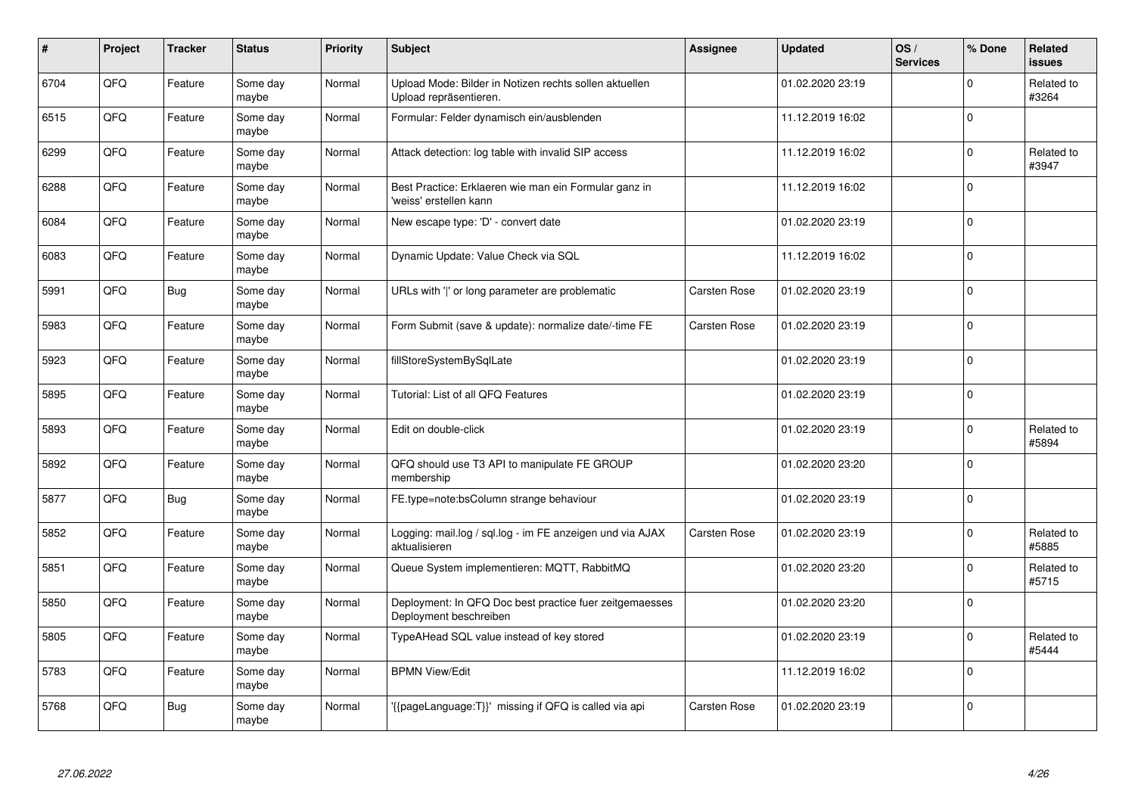| $\pmb{\#}$ | Project | <b>Tracker</b> | <b>Status</b>     | <b>Priority</b> | <b>Subject</b>                                                                    | <b>Assignee</b>     | <b>Updated</b>   | OS/<br><b>Services</b> | % Done   | Related<br><b>issues</b> |
|------------|---------|----------------|-------------------|-----------------|-----------------------------------------------------------------------------------|---------------------|------------------|------------------------|----------|--------------------------|
| 6704       | QFQ     | Feature        | Some day<br>maybe | Normal          | Upload Mode: Bilder in Notizen rechts sollen aktuellen<br>Upload repräsentieren.  |                     | 01.02.2020 23:19 |                        | $\Omega$ | Related to<br>#3264      |
| 6515       | QFQ     | Feature        | Some day<br>maybe | Normal          | Formular: Felder dynamisch ein/ausblenden                                         |                     | 11.12.2019 16:02 |                        | $\Omega$ |                          |
| 6299       | QFQ     | Feature        | Some day<br>maybe | Normal          | Attack detection: log table with invalid SIP access                               |                     | 11.12.2019 16:02 |                        | 0        | Related to<br>#3947      |
| 6288       | QFQ     | Feature        | Some day<br>maybe | Normal          | Best Practice: Erklaeren wie man ein Formular ganz in<br>'weiss' erstellen kann   |                     | 11.12.2019 16:02 |                        | $\Omega$ |                          |
| 6084       | QFQ     | Feature        | Some day<br>maybe | Normal          | New escape type: 'D' - convert date                                               |                     | 01.02.2020 23:19 |                        | $\Omega$ |                          |
| 6083       | QFQ     | Feature        | Some day<br>maybe | Normal          | Dynamic Update: Value Check via SQL                                               |                     | 11.12.2019 16:02 |                        | $\Omega$ |                          |
| 5991       | QFQ     | <b>Bug</b>     | Some day<br>maybe | Normal          | URLs with ' ' or long parameter are problematic                                   | <b>Carsten Rose</b> | 01.02.2020 23:19 |                        | $\Omega$ |                          |
| 5983       | QFQ     | Feature        | Some day<br>maybe | Normal          | Form Submit (save & update): normalize date/-time FE                              | Carsten Rose        | 01.02.2020 23:19 |                        | $\Omega$ |                          |
| 5923       | QFQ     | Feature        | Some day<br>maybe | Normal          | fillStoreSystemBySqlLate                                                          |                     | 01.02.2020 23:19 |                        | $\Omega$ |                          |
| 5895       | QFQ     | Feature        | Some day<br>maybe | Normal          | Tutorial: List of all QFQ Features                                                |                     | 01.02.2020 23:19 |                        | 0        |                          |
| 5893       | QFQ     | Feature        | Some day<br>maybe | Normal          | Edit on double-click                                                              |                     | 01.02.2020 23:19 |                        | $\Omega$ | Related to<br>#5894      |
| 5892       | QFQ     | Feature        | Some day<br>maybe | Normal          | QFQ should use T3 API to manipulate FE GROUP<br>membership                        |                     | 01.02.2020 23:20 |                        | $\Omega$ |                          |
| 5877       | QFQ     | <b>Bug</b>     | Some day<br>maybe | Normal          | FE.type=note:bsColumn strange behaviour                                           |                     | 01.02.2020 23:19 |                        | 0        |                          |
| 5852       | QFQ     | Feature        | Some day<br>maybe | Normal          | Logging: mail.log / sql.log - im FE anzeigen und via AJAX<br>aktualisieren        | <b>Carsten Rose</b> | 01.02.2020 23:19 |                        | $\Omega$ | Related to<br>#5885      |
| 5851       | QFQ     | Feature        | Some day<br>maybe | Normal          | Queue System implementieren: MQTT, RabbitMQ                                       |                     | 01.02.2020 23:20 |                        | $\Omega$ | Related to<br>#5715      |
| 5850       | QFQ     | Feature        | Some day<br>maybe | Normal          | Deployment: In QFQ Doc best practice fuer zeitgemaesses<br>Deployment beschreiben |                     | 01.02.2020 23:20 |                        | $\Omega$ |                          |
| 5805       | QFQ     | Feature        | Some day<br>maybe | Normal          | TypeAHead SQL value instead of key stored                                         |                     | 01.02.2020 23:19 |                        | $\Omega$ | Related to<br>#5444      |
| 5783       | QFQ     | Feature        | Some day<br>maybe | Normal          | <b>BPMN View/Edit</b>                                                             |                     | 11.12.2019 16:02 |                        | $\Omega$ |                          |
| 5768       | QFQ     | Bug            | Some day<br>maybe | Normal          | {{pageLanguage:T}}' missing if QFQ is called via api                              | Carsten Rose        | 01.02.2020 23:19 |                        | $\Omega$ |                          |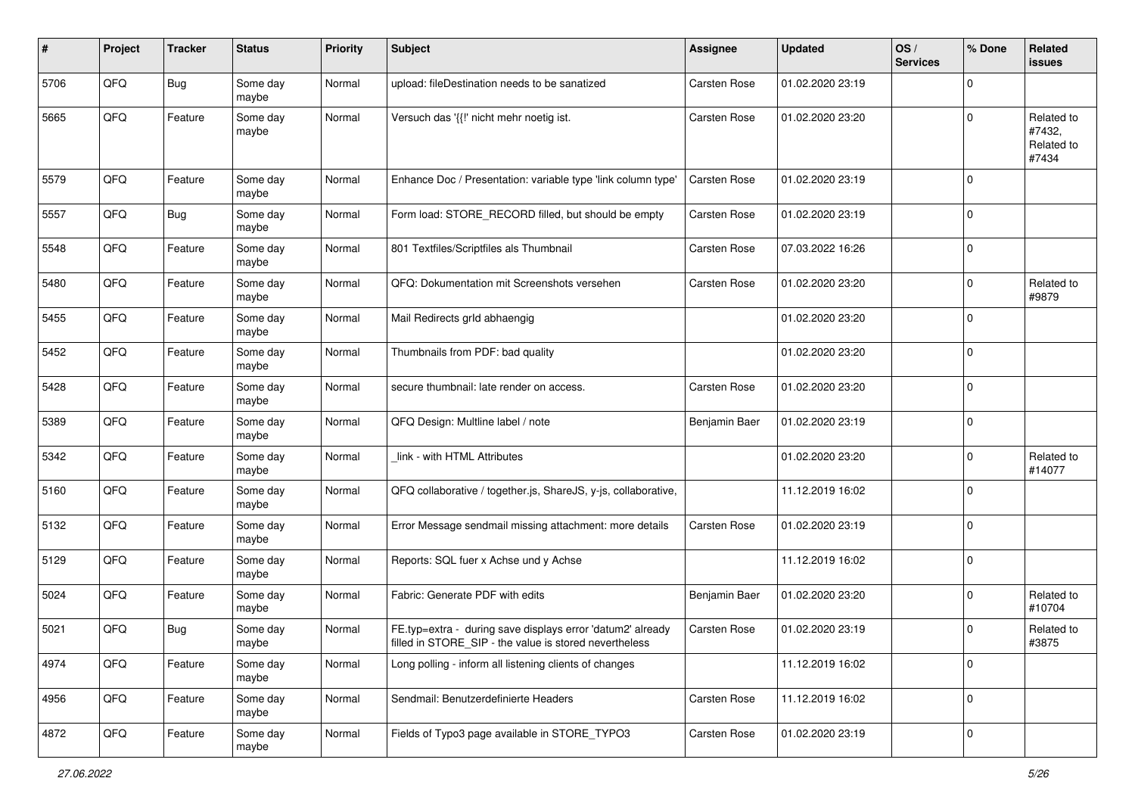| #    | Project | <b>Tracker</b> | <b>Status</b>     | <b>Priority</b> | Subject                                                                                                              | Assignee            | <b>Updated</b>   | OS/<br><b>Services</b> | % Done       | Related<br><b>issues</b>                    |
|------|---------|----------------|-------------------|-----------------|----------------------------------------------------------------------------------------------------------------------|---------------------|------------------|------------------------|--------------|---------------------------------------------|
| 5706 | QFQ     | <b>Bug</b>     | Some day<br>maybe | Normal          | upload: fileDestination needs to be sanatized                                                                        | Carsten Rose        | 01.02.2020 23:19 |                        | 0            |                                             |
| 5665 | QFQ     | Feature        | Some day<br>maybe | Normal          | Versuch das '{{!' nicht mehr noetig ist.                                                                             | <b>Carsten Rose</b> | 01.02.2020 23:20 |                        | $\Omega$     | Related to<br>#7432,<br>Related to<br>#7434 |
| 5579 | QFQ     | Feature        | Some day<br>maybe | Normal          | Enhance Doc / Presentation: variable type 'link column type'                                                         | <b>Carsten Rose</b> | 01.02.2020 23:19 |                        | $\Omega$     |                                             |
| 5557 | QFQ     | <b>Bug</b>     | Some day<br>maybe | Normal          | Form load: STORE RECORD filled, but should be empty                                                                  | Carsten Rose        | 01.02.2020 23:19 |                        | $\Omega$     |                                             |
| 5548 | QFQ     | Feature        | Some day<br>maybe | Normal          | 801 Textfiles/Scriptfiles als Thumbnail                                                                              | Carsten Rose        | 07.03.2022 16:26 |                        | $\Omega$     |                                             |
| 5480 | QFQ     | Feature        | Some day<br>maybe | Normal          | QFQ: Dokumentation mit Screenshots versehen                                                                          | <b>Carsten Rose</b> | 01.02.2020 23:20 |                        | $\Omega$     | Related to<br>#9879                         |
| 5455 | QFQ     | Feature        | Some day<br>maybe | Normal          | Mail Redirects grld abhaengig                                                                                        |                     | 01.02.2020 23:20 |                        | $\Omega$     |                                             |
| 5452 | QFQ     | Feature        | Some day<br>maybe | Normal          | Thumbnails from PDF: bad quality                                                                                     |                     | 01.02.2020 23:20 |                        | $\Omega$     |                                             |
| 5428 | QFQ     | Feature        | Some day<br>maybe | Normal          | secure thumbnail: late render on access.                                                                             | Carsten Rose        | 01.02.2020 23:20 |                        | 0            |                                             |
| 5389 | QFQ     | Feature        | Some day<br>maybe | Normal          | QFQ Design: Multline label / note                                                                                    | Benjamin Baer       | 01.02.2020 23:19 |                        | 0            |                                             |
| 5342 | QFQ     | Feature        | Some day<br>maybe | Normal          | link - with HTML Attributes                                                                                          |                     | 01.02.2020 23:20 |                        | $\Omega$     | Related to<br>#14077                        |
| 5160 | QFQ     | Feature        | Some day<br>maybe | Normal          | QFQ collaborative / together.js, ShareJS, y-js, collaborative,                                                       |                     | 11.12.2019 16:02 |                        | $\Omega$     |                                             |
| 5132 | QFQ     | Feature        | Some day<br>maybe | Normal          | Error Message sendmail missing attachment: more details                                                              | <b>Carsten Rose</b> | 01.02.2020 23:19 |                        | $\Omega$     |                                             |
| 5129 | QFQ     | Feature        | Some day<br>maybe | Normal          | Reports: SQL fuer x Achse und y Achse                                                                                |                     | 11.12.2019 16:02 |                        | $\Omega$     |                                             |
| 5024 | QFQ     | Feature        | Some day<br>maybe | Normal          | Fabric: Generate PDF with edits                                                                                      | Benjamin Baer       | 01.02.2020 23:20 |                        | $\Omega$     | Related to<br>#10704                        |
| 5021 | QFQ     | <b>Bug</b>     | Some day<br>maybe | Normal          | FE.typ=extra - during save displays error 'datum2' already<br>filled in STORE_SIP - the value is stored nevertheless | Carsten Rose        | 01.02.2020 23:19 |                        | <sup>0</sup> | Related to<br>#3875                         |
| 4974 | QFQ     | Feature        | Some day<br>maybe | Normal          | Long polling - inform all listening clients of changes                                                               |                     | 11.12.2019 16:02 |                        | $\mathbf{0}$ |                                             |
| 4956 | QFQ     | Feature        | Some day<br>maybe | Normal          | Sendmail: Benutzerdefinierte Headers                                                                                 | Carsten Rose        | 11.12.2019 16:02 |                        | 0            |                                             |
| 4872 | QFQ     | Feature        | Some day<br>maybe | Normal          | Fields of Typo3 page available in STORE_TYPO3                                                                        | Carsten Rose        | 01.02.2020 23:19 |                        | $\mathbf 0$  |                                             |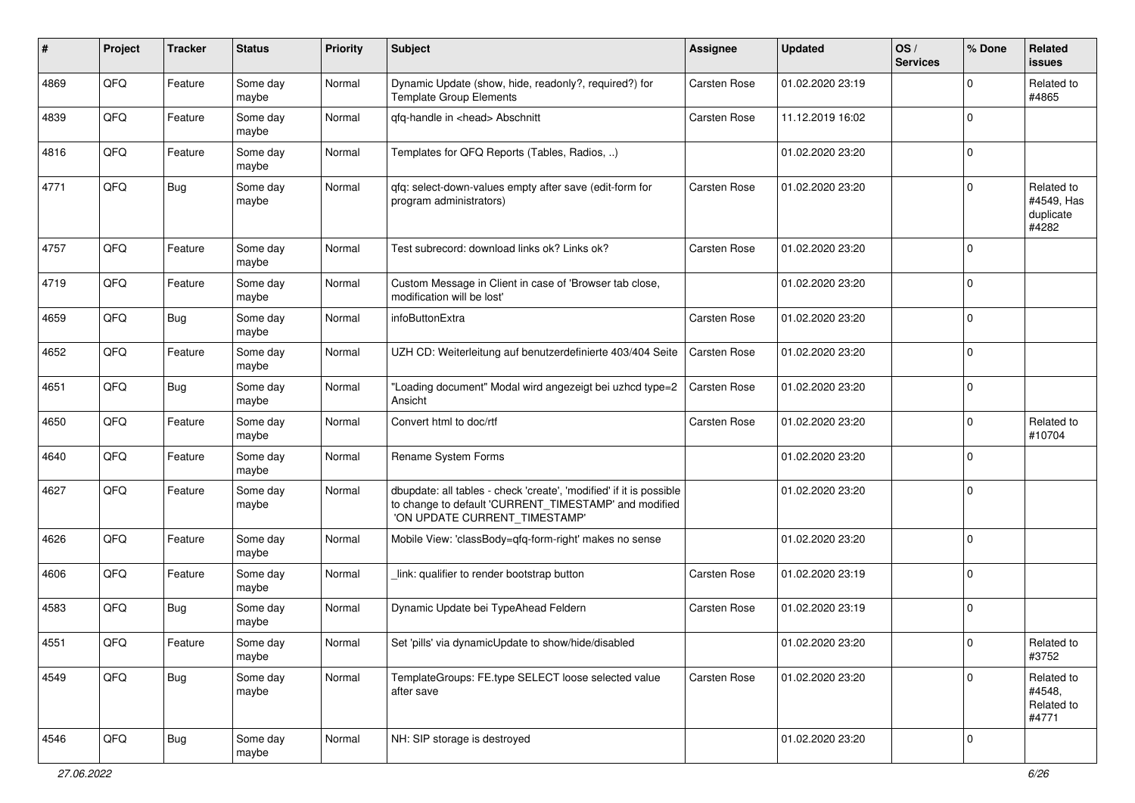| ∦    | Project | <b>Tracker</b> | <b>Status</b>     | <b>Priority</b> | <b>Subject</b>                                                                                                                                                | <b>Assignee</b>     | <b>Updated</b>   | OS/<br><b>Services</b> | % Done         | Related<br><b>issues</b>                       |
|------|---------|----------------|-------------------|-----------------|---------------------------------------------------------------------------------------------------------------------------------------------------------------|---------------------|------------------|------------------------|----------------|------------------------------------------------|
| 4869 | QFQ     | Feature        | Some day<br>maybe | Normal          | Dynamic Update (show, hide, readonly?, required?) for<br><b>Template Group Elements</b>                                                                       | Carsten Rose        | 01.02.2020 23:19 |                        | $\Omega$       | Related to<br>#4865                            |
| 4839 | QFQ     | Feature        | Some day<br>maybe | Normal          | gfg-handle in <head> Abschnitt</head>                                                                                                                         | <b>Carsten Rose</b> | 11.12.2019 16:02 |                        | $\Omega$       |                                                |
| 4816 | QFQ     | Feature        | Some day<br>maybe | Normal          | Templates for QFQ Reports (Tables, Radios, )                                                                                                                  |                     | 01.02.2020 23:20 |                        | $\Omega$       |                                                |
| 4771 | QFQ     | <b>Bug</b>     | Some day<br>maybe | Normal          | qfq: select-down-values empty after save (edit-form for<br>program administrators)                                                                            | <b>Carsten Rose</b> | 01.02.2020 23:20 |                        | $\Omega$       | Related to<br>#4549, Has<br>duplicate<br>#4282 |
| 4757 | QFQ     | Feature        | Some day<br>maybe | Normal          | Test subrecord: download links ok? Links ok?                                                                                                                  | <b>Carsten Rose</b> | 01.02.2020 23:20 |                        | $\Omega$       |                                                |
| 4719 | QFQ     | Feature        | Some day<br>maybe | Normal          | Custom Message in Client in case of 'Browser tab close,<br>modification will be lost'                                                                         |                     | 01.02.2020 23:20 |                        | $\mathbf 0$    |                                                |
| 4659 | QFQ     | <b>Bug</b>     | Some day<br>maybe | Normal          | infoButtonExtra                                                                                                                                               | <b>Carsten Rose</b> | 01.02.2020 23:20 |                        | $\Omega$       |                                                |
| 4652 | QFQ     | Feature        | Some day<br>maybe | Normal          | UZH CD: Weiterleitung auf benutzerdefinierte 403/404 Seite                                                                                                    | <b>Carsten Rose</b> | 01.02.2020 23:20 |                        | $\Omega$       |                                                |
| 4651 | QFQ     | <b>Bug</b>     | Some day<br>maybe | Normal          | "Loading document" Modal wird angezeigt bei uzhcd type=2<br>Ansicht                                                                                           | <b>Carsten Rose</b> | 01.02.2020 23:20 |                        | $\Omega$       |                                                |
| 4650 | QFQ     | Feature        | Some day<br>maybe | Normal          | Convert html to doc/rtf                                                                                                                                       | <b>Carsten Rose</b> | 01.02.2020 23:20 |                        | $\Omega$       | Related to<br>#10704                           |
| 4640 | QFQ     | Feature        | Some day<br>maybe | Normal          | Rename System Forms                                                                                                                                           |                     | 01.02.2020 23:20 |                        | $\mathbf 0$    |                                                |
| 4627 | QFQ     | Feature        | Some day<br>maybe | Normal          | dbupdate: all tables - check 'create', 'modified' if it is possible<br>to change to default 'CURRENT_TIMESTAMP' and modified<br>'ON UPDATE CURRENT_TIMESTAMP' |                     | 01.02.2020 23:20 |                        | $\Omega$       |                                                |
| 4626 | QFQ     | Feature        | Some day<br>maybe | Normal          | Mobile View: 'classBody=qfq-form-right' makes no sense                                                                                                        |                     | 01.02.2020 23:20 |                        | $\Omega$       |                                                |
| 4606 | QFQ     | Feature        | Some day<br>maybe | Normal          | link: qualifier to render bootstrap button                                                                                                                    | Carsten Rose        | 01.02.2020 23:19 |                        | $\Omega$       |                                                |
| 4583 | QFQ     | Bug            | Some day<br>maybe | Normal          | Dynamic Update bei TypeAhead Feldern                                                                                                                          | Carsten Rose        | 01.02.2020 23:19 |                        | $\Omega$       |                                                |
| 4551 | QFO     | Feature        | Some day<br>maybe | Normal          | Set 'pills' via dynamicUpdate to show/hide/disabled                                                                                                           |                     | 01.02.2020 23:20 |                        | $\overline{0}$ | Related to<br>#3752                            |
| 4549 | QFQ     | <b>Bug</b>     | Some day<br>maybe | Normal          | TemplateGroups: FE.type SELECT loose selected value<br>after save                                                                                             | Carsten Rose        | 01.02.2020 23:20 |                        | $\mathbf{0}$   | Related to<br>#4548,<br>Related to<br>#4771    |
| 4546 | QFG     | <b>Bug</b>     | Some day<br>maybe | Normal          | NH: SIP storage is destroyed                                                                                                                                  |                     | 01.02.2020 23:20 |                        | $\overline{0}$ |                                                |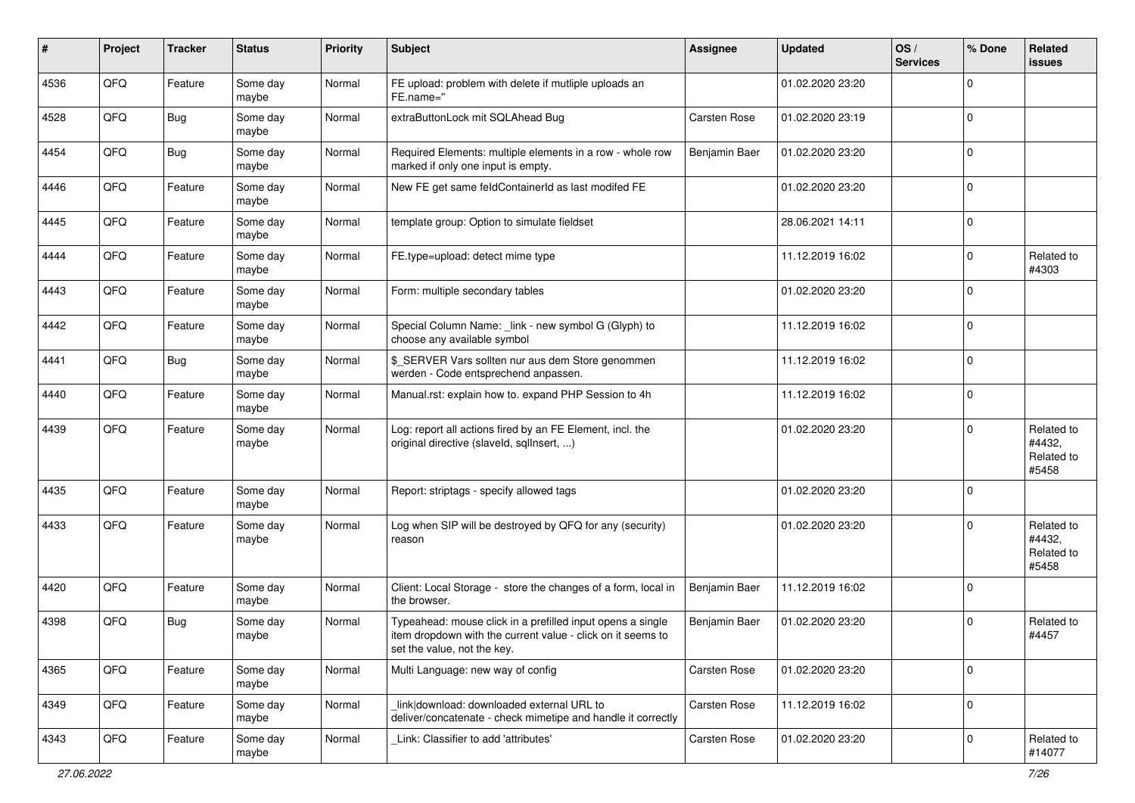| #    | Project | <b>Tracker</b> | <b>Status</b>     | <b>Priority</b> | <b>Subject</b>                                                                                                                                           | <b>Assignee</b>     | <b>Updated</b>   | OS/<br><b>Services</b> | % Done         | Related<br><b>issues</b>                    |
|------|---------|----------------|-------------------|-----------------|----------------------------------------------------------------------------------------------------------------------------------------------------------|---------------------|------------------|------------------------|----------------|---------------------------------------------|
| 4536 | QFQ     | Feature        | Some day<br>maybe | Normal          | FE upload: problem with delete if mutliple uploads an<br>FE.name="                                                                                       |                     | 01.02.2020 23:20 |                        | $\mathbf 0$    |                                             |
| 4528 | QFQ     | <b>Bug</b>     | Some day<br>maybe | Normal          | extraButtonLock mit SQLAhead Bug                                                                                                                         | <b>Carsten Rose</b> | 01.02.2020 23:19 |                        | $\overline{0}$ |                                             |
| 4454 | QFQ     | <b>Bug</b>     | Some day<br>maybe | Normal          | Required Elements: multiple elements in a row - whole row<br>marked if only one input is empty.                                                          | Benjamin Baer       | 01.02.2020 23:20 |                        | $\Omega$       |                                             |
| 4446 | QFQ     | Feature        | Some day<br>maybe | Normal          | New FE get same feldContainerId as last modifed FE                                                                                                       |                     | 01.02.2020 23:20 |                        | $\mathbf 0$    |                                             |
| 4445 | QFQ     | Feature        | Some day<br>maybe | Normal          | template group: Option to simulate fieldset                                                                                                              |                     | 28.06.2021 14:11 |                        | $\mathbf 0$    |                                             |
| 4444 | QFQ     | Feature        | Some day<br>maybe | Normal          | FE.type=upload: detect mime type                                                                                                                         |                     | 11.12.2019 16:02 |                        | $\mathbf 0$    | Related to<br>#4303                         |
| 4443 | QFQ     | Feature        | Some day<br>maybe | Normal          | Form: multiple secondary tables                                                                                                                          |                     | 01.02.2020 23:20 |                        | $\mathbf 0$    |                                             |
| 4442 | QFQ     | Feature        | Some day<br>maybe | Normal          | Special Column Name: _link - new symbol G (Glyph) to<br>choose any available symbol                                                                      |                     | 11.12.2019 16:02 |                        | $\mathbf 0$    |                                             |
| 4441 | QFQ     | <b>Bug</b>     | Some day<br>maybe | Normal          | \$_SERVER Vars sollten nur aus dem Store genommen<br>werden - Code entsprechend anpassen.                                                                |                     | 11.12.2019 16:02 |                        | $\overline{0}$ |                                             |
| 4440 | QFQ     | Feature        | Some day<br>maybe | Normal          | Manual.rst: explain how to. expand PHP Session to 4h                                                                                                     |                     | 11.12.2019 16:02 |                        | $\mathbf 0$    |                                             |
| 4439 | QFQ     | Feature        | Some day<br>maybe | Normal          | Log: report all actions fired by an FE Element, incl. the<br>original directive (slaveld, sqllnsert, )                                                   |                     | 01.02.2020 23:20 |                        | $\mathbf 0$    | Related to<br>#4432,<br>Related to<br>#5458 |
| 4435 | QFQ     | Feature        | Some day<br>maybe | Normal          | Report: striptags - specify allowed tags                                                                                                                 |                     | 01.02.2020 23:20 |                        | $\overline{0}$ |                                             |
| 4433 | QFQ     | Feature        | Some day<br>maybe | Normal          | Log when SIP will be destroyed by QFQ for any (security)<br>reason                                                                                       |                     | 01.02.2020 23:20 |                        | $\mathbf 0$    | Related to<br>#4432,<br>Related to<br>#5458 |
| 4420 | QFQ     | Feature        | Some day<br>maybe | Normal          | Client: Local Storage - store the changes of a form, local in<br>the browser.                                                                            | Benjamin Baer       | 11.12.2019 16:02 |                        | $\overline{0}$ |                                             |
| 4398 | QFQ     | Bug            | Some day<br>maybe | Normal          | Typeahead: mouse click in a prefilled input opens a single<br>item dropdown with the current value - click on it seems to<br>set the value, not the key. | Benjamin Baer       | 01.02.2020 23:20 |                        | $\Omega$       | Related to<br>#4457                         |
| 4365 | QFQ     | Feature        | Some day<br>maybe | Normal          | Multi Language: new way of config                                                                                                                        | Carsten Rose        | 01.02.2020 23:20 |                        | $\mathbf 0$    |                                             |
| 4349 | QFG     | Feature        | Some day<br>maybe | Normal          | link download: downloaded external URL to<br>deliver/concatenate - check mimetipe and handle it correctly                                                | Carsten Rose        | 11.12.2019 16:02 |                        | $\mathbf 0$    |                                             |
| 4343 | QFO     | Feature        | Some day<br>maybe | Normal          | Link: Classifier to add 'attributes'                                                                                                                     | Carsten Rose        | 01.02.2020 23:20 |                        | $\mathbf 0$    | Related to<br>#14077                        |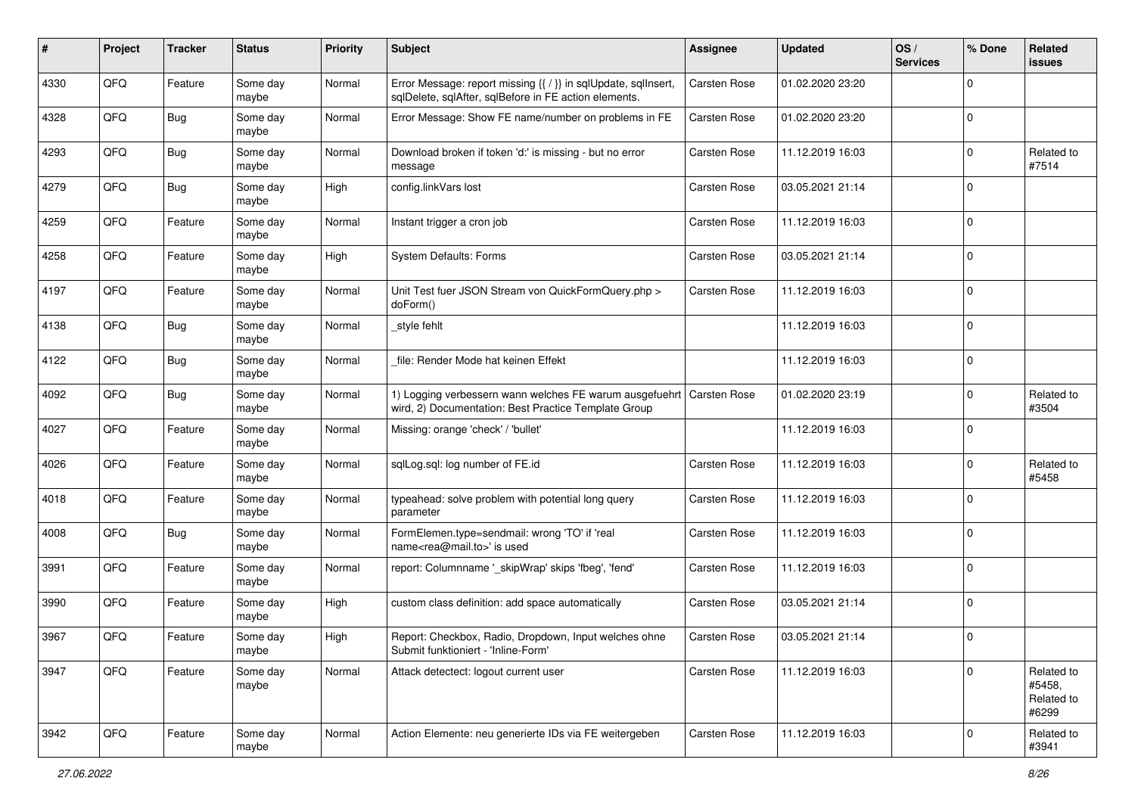| #    | Project | <b>Tracker</b> | <b>Status</b>     | <b>Priority</b> | <b>Subject</b>                                                                                                          | <b>Assignee</b>     | <b>Updated</b>   | OS/<br><b>Services</b> | % Done   | Related<br><b>issues</b>                    |
|------|---------|----------------|-------------------|-----------------|-------------------------------------------------------------------------------------------------------------------------|---------------------|------------------|------------------------|----------|---------------------------------------------|
| 4330 | QFQ     | Feature        | Some day<br>maybe | Normal          | Error Message: report missing {{ / }} in sqlUpdate, sqlInsert,<br>sqlDelete, sqlAfter, sqlBefore in FE action elements. | <b>Carsten Rose</b> | 01.02.2020 23:20 |                        | $\Omega$ |                                             |
| 4328 | QFQ     | <b>Bug</b>     | Some day<br>maybe | Normal          | Error Message: Show FE name/number on problems in FE                                                                    | <b>Carsten Rose</b> | 01.02.2020 23:20 |                        | $\Omega$ |                                             |
| 4293 | QFQ     | <b>Bug</b>     | Some day<br>maybe | Normal          | Download broken if token 'd:' is missing - but no error<br>message                                                      | Carsten Rose        | 11.12.2019 16:03 |                        | 0        | Related to<br>#7514                         |
| 4279 | QFQ     | <b>Bug</b>     | Some day<br>maybe | High            | config.linkVars lost                                                                                                    | Carsten Rose        | 03.05.2021 21:14 |                        | $\Omega$ |                                             |
| 4259 | QFQ     | Feature        | Some day<br>maybe | Normal          | Instant trigger a cron job                                                                                              | Carsten Rose        | 11.12.2019 16:03 |                        | $\Omega$ |                                             |
| 4258 | QFQ     | Feature        | Some day<br>maybe | High            | System Defaults: Forms                                                                                                  | Carsten Rose        | 03.05.2021 21:14 |                        | $\Omega$ |                                             |
| 4197 | QFQ     | Feature        | Some day<br>maybe | Normal          | Unit Test fuer JSON Stream von QuickFormQuery.php ><br>doForm()                                                         | Carsten Rose        | 11.12.2019 16:03 |                        | $\Omega$ |                                             |
| 4138 | QFQ     | Bug            | Some day<br>maybe | Normal          | style fehlt                                                                                                             |                     | 11.12.2019 16:03 |                        | 0        |                                             |
| 4122 | QFQ     | <b>Bug</b>     | Some day<br>maybe | Normal          | file: Render Mode hat keinen Effekt                                                                                     |                     | 11.12.2019 16:03 |                        | 0        |                                             |
| 4092 | QFQ     | <b>Bug</b>     | Some day<br>maybe | Normal          | 1) Logging verbessern wann welches FE warum ausgefuehrt<br>wird, 2) Documentation: Best Practice Template Group         | <b>Carsten Rose</b> | 01.02.2020 23:19 |                        | 0        | Related to<br>#3504                         |
| 4027 | QFQ     | Feature        | Some day<br>maybe | Normal          | Missing: orange 'check' / 'bullet'                                                                                      |                     | 11.12.2019 16:03 |                        | $\Omega$ |                                             |
| 4026 | QFQ     | Feature        | Some day<br>maybe | Normal          | sqlLog.sql: log number of FE.id                                                                                         | Carsten Rose        | 11.12.2019 16:03 |                        | $\Omega$ | Related to<br>#5458                         |
| 4018 | QFQ     | Feature        | Some day<br>maybe | Normal          | typeahead: solve problem with potential long query<br>parameter                                                         | Carsten Rose        | 11.12.2019 16:03 |                        | $\Omega$ |                                             |
| 4008 | QFQ     | Bug            | Some day<br>maybe | Normal          | FormElemen.type=sendmail: wrong 'TO' if 'real<br>name <rea@mail.to>' is used</rea@mail.to>                              | <b>Carsten Rose</b> | 11.12.2019 16:03 |                        | $\Omega$ |                                             |
| 3991 | QFQ     | Feature        | Some day<br>maybe | Normal          | report: Columnname '_skipWrap' skips 'fbeg', 'fend'                                                                     | <b>Carsten Rose</b> | 11.12.2019 16:03 |                        | 0        |                                             |
| 3990 | QFQ     | Feature        | Some day<br>maybe | High            | custom class definition: add space automatically                                                                        | <b>Carsten Rose</b> | 03.05.2021 21:14 |                        | 0        |                                             |
| 3967 | QFQ     | Feature        | Some day<br>maybe | High            | Report: Checkbox, Radio, Dropdown, Input welches ohne<br>Submit funktioniert - 'Inline-Form'                            | <b>Carsten Rose</b> | 03.05.2021 21:14 |                        | $\Omega$ |                                             |
| 3947 | QFQ     | Feature        | Some day<br>maybe | Normal          | Attack detectect: logout current user                                                                                   | Carsten Rose        | 11.12.2019 16:03 |                        | $\Omega$ | Related to<br>#5458,<br>Related to<br>#6299 |
| 3942 | QFQ     | Feature        | Some day<br>maybe | Normal          | Action Elemente: neu generierte IDs via FE weitergeben                                                                  | Carsten Rose        | 11.12.2019 16:03 |                        | 0        | Related to<br>#3941                         |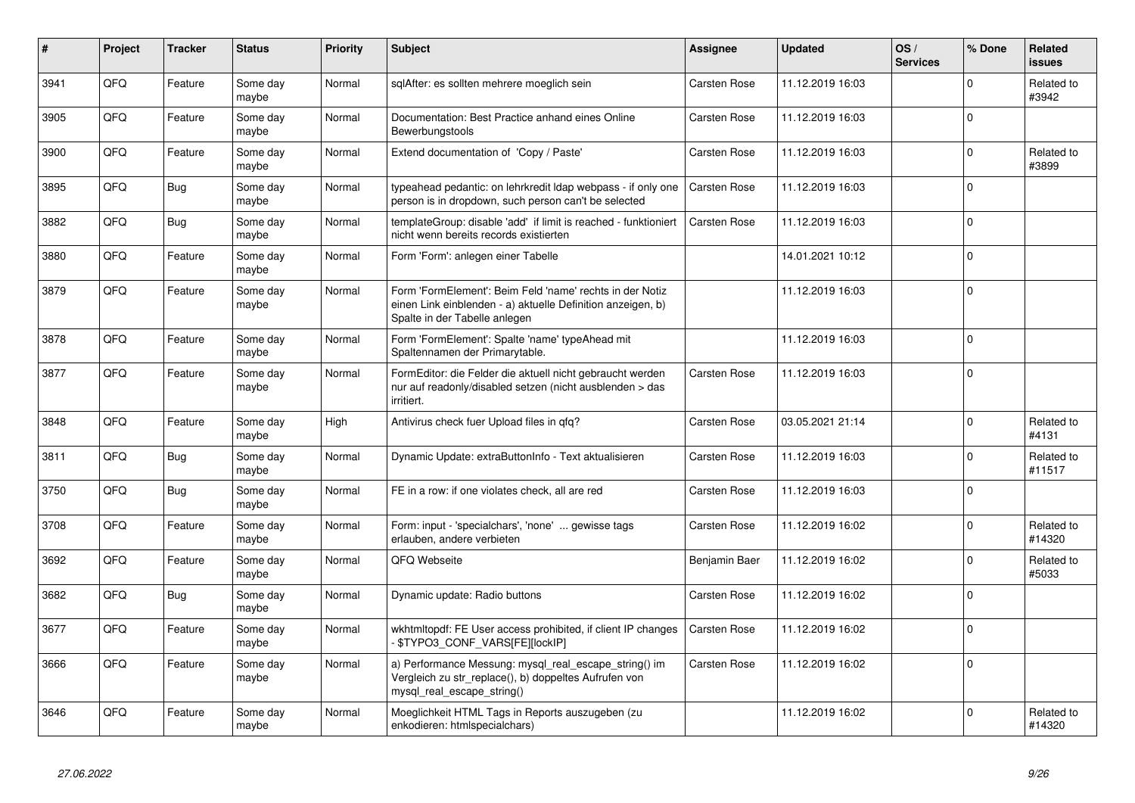| #    | Project | <b>Tracker</b> | <b>Status</b>     | Priority | <b>Subject</b>                                                                                                                                           | <b>Assignee</b>     | <b>Updated</b>   | OS/<br><b>Services</b> | % Done   | Related<br><b>issues</b> |
|------|---------|----------------|-------------------|----------|----------------------------------------------------------------------------------------------------------------------------------------------------------|---------------------|------------------|------------------------|----------|--------------------------|
| 3941 | QFQ     | Feature        | Some day<br>maybe | Normal   | sglAfter: es sollten mehrere moeglich sein                                                                                                               | <b>Carsten Rose</b> | 11.12.2019 16:03 |                        | $\Omega$ | Related to<br>#3942      |
| 3905 | QFQ     | Feature        | Some day<br>maybe | Normal   | Documentation: Best Practice anhand eines Online<br>Bewerbungstools                                                                                      | <b>Carsten Rose</b> | 11.12.2019 16:03 |                        | $\Omega$ |                          |
| 3900 | QFQ     | Feature        | Some day<br>maybe | Normal   | Extend documentation of 'Copy / Paste'                                                                                                                   | <b>Carsten Rose</b> | 11.12.2019 16:03 |                        | $\Omega$ | Related to<br>#3899      |
| 3895 | QFQ     | <b>Bug</b>     | Some day<br>maybe | Normal   | typeahead pedantic: on lehrkredit Idap webpass - if only one<br>person is in dropdown, such person can't be selected                                     | <b>Carsten Rose</b> | 11.12.2019 16:03 |                        | $\Omega$ |                          |
| 3882 | QFQ     | Bug            | Some day<br>maybe | Normal   | templateGroup: disable 'add' if limit is reached - funktioniert<br>nicht wenn bereits records existierten                                                | <b>Carsten Rose</b> | 11.12.2019 16:03 |                        | $\Omega$ |                          |
| 3880 | QFQ     | Feature        | Some day<br>maybe | Normal   | Form 'Form': anlegen einer Tabelle                                                                                                                       |                     | 14.01.2021 10:12 |                        | $\Omega$ |                          |
| 3879 | QFQ     | Feature        | Some day<br>maybe | Normal   | Form 'FormElement': Beim Feld 'name' rechts in der Notiz<br>einen Link einblenden - a) aktuelle Definition anzeigen, b)<br>Spalte in der Tabelle anlegen |                     | 11.12.2019 16:03 |                        | $\Omega$ |                          |
| 3878 | QFQ     | Feature        | Some day<br>maybe | Normal   | Form 'FormElement': Spalte 'name' typeAhead mit<br>Spaltennamen der Primarytable.                                                                        |                     | 11.12.2019 16:03 |                        | $\Omega$ |                          |
| 3877 | QFQ     | Feature        | Some day<br>maybe | Normal   | FormEditor: die Felder die aktuell nicht gebraucht werden<br>nur auf readonly/disabled setzen (nicht ausblenden > das<br>irritiert.                      | <b>Carsten Rose</b> | 11.12.2019 16:03 |                        | $\Omega$ |                          |
| 3848 | QFQ     | Feature        | Some day<br>maybe | High     | Antivirus check fuer Upload files in qfq?                                                                                                                | <b>Carsten Rose</b> | 03.05.2021 21:14 |                        | $\Omega$ | Related to<br>#4131      |
| 3811 | QFQ     | <b>Bug</b>     | Some day<br>maybe | Normal   | Dynamic Update: extraButtonInfo - Text aktualisieren                                                                                                     | <b>Carsten Rose</b> | 11.12.2019 16:03 |                        | $\Omega$ | Related to<br>#11517     |
| 3750 | QFQ     | <b>Bug</b>     | Some day<br>maybe | Normal   | FE in a row: if one violates check, all are red                                                                                                          | <b>Carsten Rose</b> | 11.12.2019 16:03 |                        | $\Omega$ |                          |
| 3708 | QFQ     | Feature        | Some day<br>maybe | Normal   | Form: input - 'specialchars', 'none'  gewisse tags<br>erlauben, andere verbieten                                                                         | Carsten Rose        | 11.12.2019 16:02 |                        | $\Omega$ | Related to<br>#14320     |
| 3692 | QFQ     | Feature        | Some day<br>maybe | Normal   | QFQ Webseite                                                                                                                                             | Benjamin Baer       | 11.12.2019 16:02 |                        | $\Omega$ | Related to<br>#5033      |
| 3682 | QFQ     | Bug            | Some day<br>maybe | Normal   | Dynamic update: Radio buttons                                                                                                                            | <b>Carsten Rose</b> | 11.12.2019 16:02 |                        | $\Omega$ |                          |
| 3677 | QFQ     | Feature        | Some day<br>maybe | Normal   | wkhtmltopdf: FE User access prohibited, if client IP changes<br>- \$TYPO3_CONF_VARS[FE][lockIP]                                                          | <b>Carsten Rose</b> | 11.12.2019 16:02 |                        | $\Omega$ |                          |
| 3666 | QFQ     | Feature        | Some day<br>maybe | Normal   | a) Performance Messung: mysql_real_escape_string() im<br>Vergleich zu str_replace(), b) doppeltes Aufrufen von<br>mysql_real_escape_string()             | <b>Carsten Rose</b> | 11.12.2019 16:02 |                        | $\Omega$ |                          |
| 3646 | QFQ     | Feature        | Some day<br>maybe | Normal   | Moeglichkeit HTML Tags in Reports auszugeben (zu<br>enkodieren: htmlspecialchars)                                                                        |                     | 11.12.2019 16:02 |                        | $\Omega$ | Related to<br>#14320     |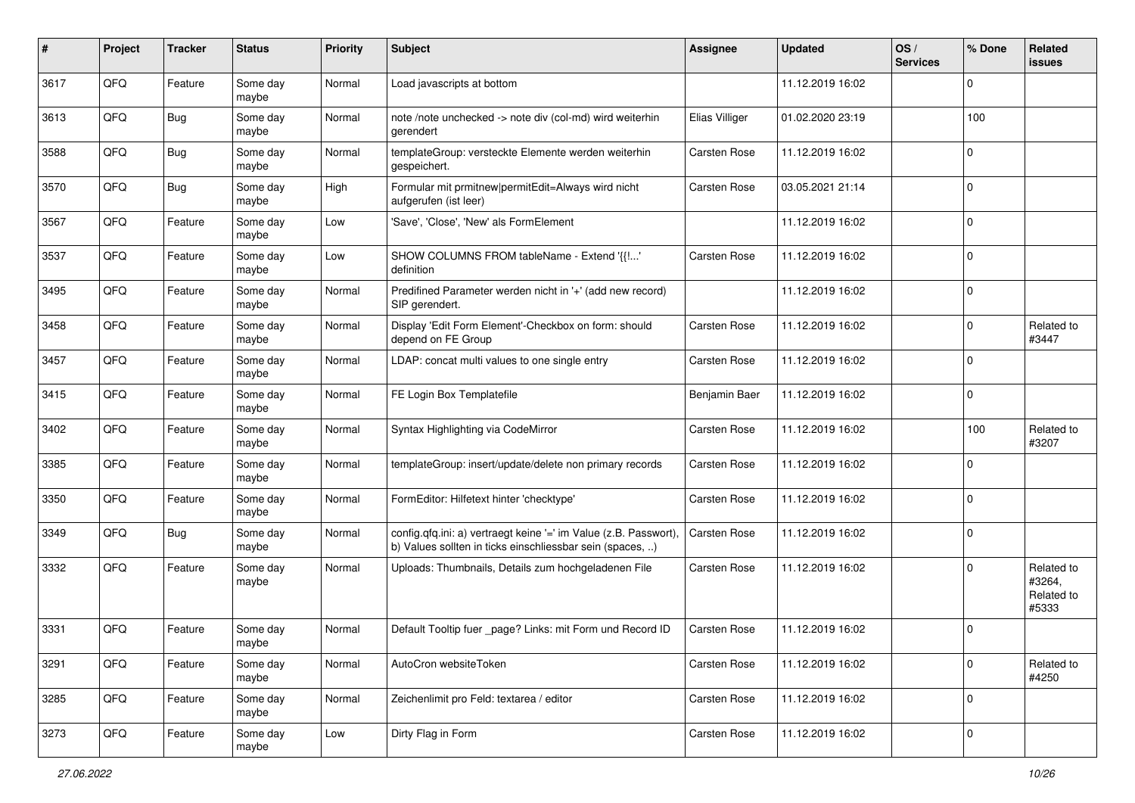| #    | Project | <b>Tracker</b> | <b>Status</b>     | <b>Priority</b> | Subject                                                                                                                       | Assignee            | <b>Updated</b>   | OS/<br><b>Services</b> | % Done       | Related<br><b>issues</b>                    |
|------|---------|----------------|-------------------|-----------------|-------------------------------------------------------------------------------------------------------------------------------|---------------------|------------------|------------------------|--------------|---------------------------------------------|
| 3617 | QFQ     | Feature        | Some day<br>maybe | Normal          | Load javascripts at bottom                                                                                                    |                     | 11.12.2019 16:02 |                        | 0            |                                             |
| 3613 | QFQ     | <b>Bug</b>     | Some day<br>maybe | Normal          | note /note unchecked -> note div (col-md) wird weiterhin<br>gerendert                                                         | Elias Villiger      | 01.02.2020 23:19 |                        | 100          |                                             |
| 3588 | QFQ     | Bug            | Some day<br>maybe | Normal          | templateGroup: versteckte Elemente werden weiterhin<br>gespeichert.                                                           | Carsten Rose        | 11.12.2019 16:02 |                        | 0            |                                             |
| 3570 | QFQ     | <b>Bug</b>     | Some day<br>maybe | High            | Formular mit prmitnew permitEdit=Always wird nicht<br>aufgerufen (ist leer)                                                   | Carsten Rose        | 03.05.2021 21:14 |                        | $\Omega$     |                                             |
| 3567 | QFQ     | Feature        | Some day<br>maybe | Low             | 'Save', 'Close', 'New' als FormElement                                                                                        |                     | 11.12.2019 16:02 |                        | $\Omega$     |                                             |
| 3537 | QFQ     | Feature        | Some day<br>maybe | Low             | SHOW COLUMNS FROM tableName - Extend '{{!'<br>definition                                                                      | <b>Carsten Rose</b> | 11.12.2019 16:02 |                        | $\Omega$     |                                             |
| 3495 | QFQ     | Feature        | Some day<br>maybe | Normal          | Predifined Parameter werden nicht in '+' (add new record)<br>SIP gerendert.                                                   |                     | 11.12.2019 16:02 |                        | $\Omega$     |                                             |
| 3458 | QFQ     | Feature        | Some day<br>maybe | Normal          | Display 'Edit Form Element'-Checkbox on form: should<br>depend on FE Group                                                    | <b>Carsten Rose</b> | 11.12.2019 16:02 |                        | 0            | Related to<br>#3447                         |
| 3457 | QFQ     | Feature        | Some day<br>maybe | Normal          | LDAP: concat multi values to one single entry                                                                                 | <b>Carsten Rose</b> | 11.12.2019 16:02 |                        | 0            |                                             |
| 3415 | QFQ     | Feature        | Some day<br>maybe | Normal          | FE Login Box Templatefile                                                                                                     | Benjamin Baer       | 11.12.2019 16:02 |                        | 0            |                                             |
| 3402 | QFQ     | Feature        | Some day<br>maybe | Normal          | Syntax Highlighting via CodeMirror                                                                                            | Carsten Rose        | 11.12.2019 16:02 |                        | 100          | Related to<br>#3207                         |
| 3385 | QFQ     | Feature        | Some day<br>maybe | Normal          | templateGroup: insert/update/delete non primary records                                                                       | Carsten Rose        | 11.12.2019 16:02 |                        | 0            |                                             |
| 3350 | QFQ     | Feature        | Some day<br>maybe | Normal          | FormEditor: Hilfetext hinter 'checktype'                                                                                      | <b>Carsten Rose</b> | 11.12.2019 16:02 |                        | $\Omega$     |                                             |
| 3349 | QFQ     | <b>Bug</b>     | Some day<br>maybe | Normal          | config.qfq.ini: a) vertraegt keine '=' im Value (z.B. Passwort),<br>b) Values sollten in ticks einschliessbar sein (spaces, ) | <b>Carsten Rose</b> | 11.12.2019 16:02 |                        | $\Omega$     |                                             |
| 3332 | QFQ     | Feature        | Some day<br>maybe | Normal          | Uploads: Thumbnails, Details zum hochgeladenen File                                                                           | <b>Carsten Rose</b> | 11.12.2019 16:02 |                        | 0            | Related to<br>#3264,<br>Related to<br>#5333 |
| 3331 | QFQ     | Feature        | Some day<br>maybe | Normal          | Default Tooltip fuer _page? Links: mit Form und Record ID                                                                     | <b>Carsten Rose</b> | 11.12.2019 16:02 |                        | <sup>0</sup> |                                             |
| 3291 | QFQ     | Feature        | Some day<br>maybe | Normal          | AutoCron websiteToken                                                                                                         | Carsten Rose        | 11.12.2019 16:02 |                        | 0            | Related to<br>#4250                         |
| 3285 | QFQ     | Feature        | Some day<br>maybe | Normal          | Zeichenlimit pro Feld: textarea / editor                                                                                      | Carsten Rose        | 11.12.2019 16:02 |                        | 0            |                                             |
| 3273 | QFQ     | Feature        | Some day<br>maybe | Low             | Dirty Flag in Form                                                                                                            | Carsten Rose        | 11.12.2019 16:02 |                        | $\mathbf 0$  |                                             |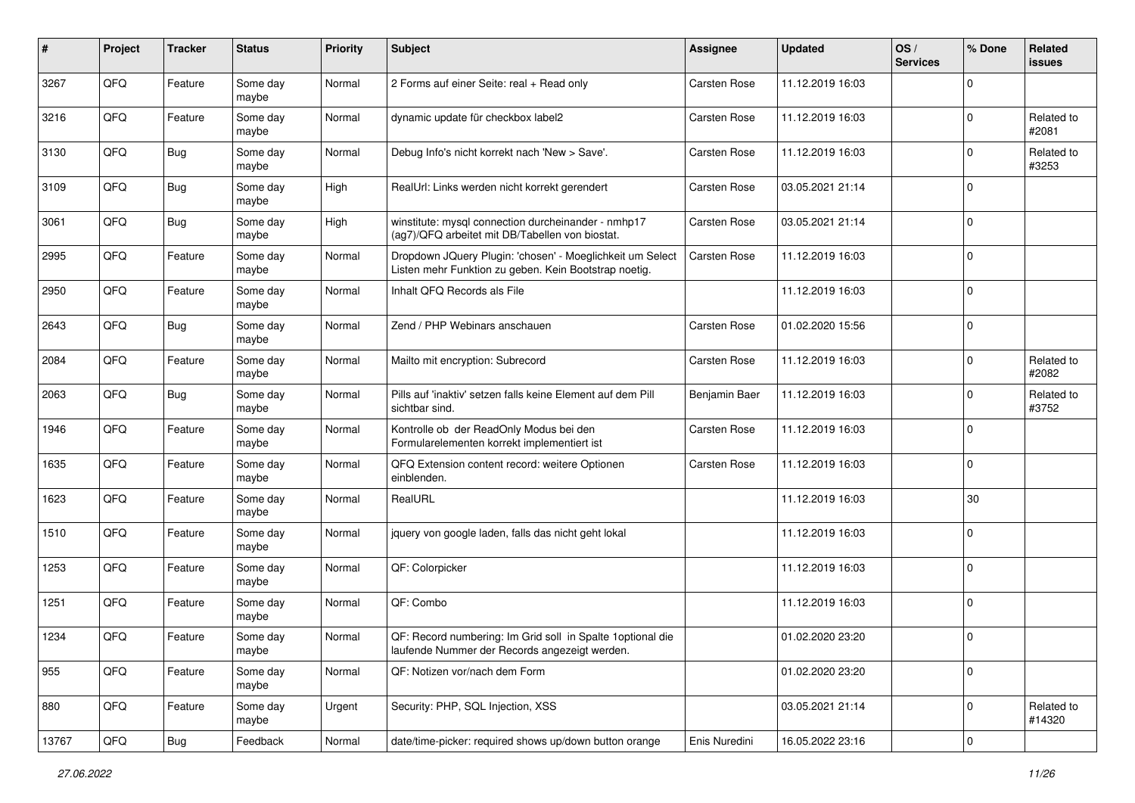| $\sharp$ | Project | <b>Tracker</b> | <b>Status</b>     | <b>Priority</b> | Subject                                                                                                            | <b>Assignee</b>     | <b>Updated</b>   | OS/<br><b>Services</b> | % Done         | Related<br><b>issues</b> |
|----------|---------|----------------|-------------------|-----------------|--------------------------------------------------------------------------------------------------------------------|---------------------|------------------|------------------------|----------------|--------------------------|
| 3267     | QFQ     | Feature        | Some day<br>maybe | Normal          | 2 Forms auf einer Seite: real + Read only                                                                          | <b>Carsten Rose</b> | 11.12.2019 16:03 |                        | $\mathbf 0$    |                          |
| 3216     | QFQ     | Feature        | Some day<br>maybe | Normal          | dynamic update für checkbox label2                                                                                 | <b>Carsten Rose</b> | 11.12.2019 16:03 |                        | $\overline{0}$ | Related to<br>#2081      |
| 3130     | QFQ     | <b>Bug</b>     | Some day<br>maybe | Normal          | Debug Info's nicht korrekt nach 'New > Save'.                                                                      | <b>Carsten Rose</b> | 11.12.2019 16:03 |                        | $\mathbf 0$    | Related to<br>#3253      |
| 3109     | QFQ     | <b>Bug</b>     | Some day<br>maybe | High            | RealUrl: Links werden nicht korrekt gerendert                                                                      | <b>Carsten Rose</b> | 03.05.2021 21:14 |                        | $\mathbf 0$    |                          |
| 3061     | QFQ     | Bug            | Some day<br>maybe | High            | winstitute: mysql connection durcheinander - nmhp17<br>(ag7)/QFQ arbeitet mit DB/Tabellen von biostat.             | <b>Carsten Rose</b> | 03.05.2021 21:14 |                        | $\mathbf 0$    |                          |
| 2995     | QFQ     | Feature        | Some day<br>maybe | Normal          | Dropdown JQuery Plugin: 'chosen' - Moeglichkeit um Select<br>Listen mehr Funktion zu geben. Kein Bootstrap noetig. | Carsten Rose        | 11.12.2019 16:03 |                        | $\overline{0}$ |                          |
| 2950     | QFQ     | Feature        | Some day<br>maybe | Normal          | Inhalt QFQ Records als File                                                                                        |                     | 11.12.2019 16:03 |                        | $\mathbf 0$    |                          |
| 2643     | QFQ     | <b>Bug</b>     | Some day<br>maybe | Normal          | Zend / PHP Webinars anschauen                                                                                      | <b>Carsten Rose</b> | 01.02.2020 15:56 |                        | $\pmb{0}$      |                          |
| 2084     | QFQ     | Feature        | Some day<br>maybe | Normal          | Mailto mit encryption: Subrecord                                                                                   | <b>Carsten Rose</b> | 11.12.2019 16:03 |                        | $\mathbf 0$    | Related to<br>#2082      |
| 2063     | QFQ     | <b>Bug</b>     | Some day<br>maybe | Normal          | Pills auf 'inaktiv' setzen falls keine Element auf dem Pill<br>sichtbar sind.                                      | Benjamin Baer       | 11.12.2019 16:03 |                        | $\mathbf 0$    | Related to<br>#3752      |
| 1946     | QFQ     | Feature        | Some day<br>maybe | Normal          | Kontrolle ob der ReadOnly Modus bei den<br>Formularelementen korrekt implementiert ist                             | Carsten Rose        | 11.12.2019 16:03 |                        | $\mathbf 0$    |                          |
| 1635     | QFQ     | Feature        | Some day<br>maybe | Normal          | QFQ Extension content record: weitere Optionen<br>einblenden.                                                      | <b>Carsten Rose</b> | 11.12.2019 16:03 |                        | $\mathbf 0$    |                          |
| 1623     | QFQ     | Feature        | Some day<br>maybe | Normal          | RealURL                                                                                                            |                     | 11.12.2019 16:03 |                        | 30             |                          |
| 1510     | QFQ     | Feature        | Some day<br>maybe | Normal          | jquery von google laden, falls das nicht geht lokal                                                                |                     | 11.12.2019 16:03 |                        | $\mathbf 0$    |                          |
| 1253     | QFQ     | Feature        | Some day<br>maybe | Normal          | QF: Colorpicker                                                                                                    |                     | 11.12.2019 16:03 |                        | $\mathbf 0$    |                          |
| 1251     | QFQ     | Feature        | Some day<br>maybe | Normal          | QF: Combo                                                                                                          |                     | 11.12.2019 16:03 |                        | $\mathbf 0$    |                          |
| 1234     | QFQ     | Feature        | Some day<br>maybe | Normal          | QF: Record numbering: Im Grid soll in Spalte 1 optional die<br>laufende Nummer der Records angezeigt werden.       |                     | 01.02.2020 23:20 |                        | $\overline{0}$ |                          |
| 955      | QFQ     | Feature        | Some day<br>maybe | Normal          | QF: Notizen vor/nach dem Form                                                                                      |                     | 01.02.2020 23:20 |                        | $\mathbf 0$    |                          |
| 880      | QFQ     | Feature        | Some day<br>maybe | Urgent          | Security: PHP, SQL Injection, XSS                                                                                  |                     | 03.05.2021 21:14 |                        | $\mathbf 0$    | Related to<br>#14320     |
| 13767    | QFQ     | Bug            | Feedback          | Normal          | date/time-picker: required shows up/down button orange                                                             | Enis Nuredini       | 16.05.2022 23:16 |                        | $\mathbf 0$    |                          |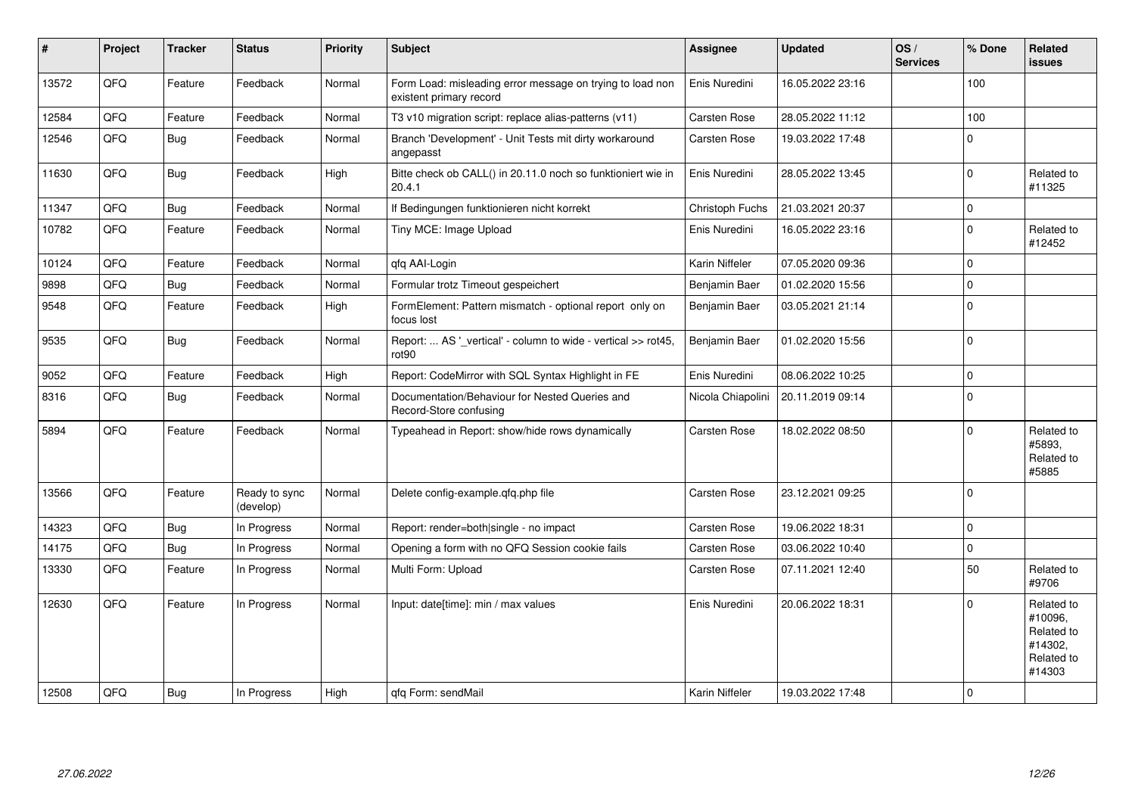| #     | Project | <b>Tracker</b> | <b>Status</b>              | <b>Priority</b> | <b>Subject</b>                                                                       | <b>Assignee</b>     | <b>Updated</b>   | OS/<br><b>Services</b> | % Done       | Related<br><b>issues</b>                                               |
|-------|---------|----------------|----------------------------|-----------------|--------------------------------------------------------------------------------------|---------------------|------------------|------------------------|--------------|------------------------------------------------------------------------|
| 13572 | QFQ     | Feature        | Feedback                   | Normal          | Form Load: misleading error message on trying to load non<br>existent primary record | Enis Nuredini       | 16.05.2022 23:16 |                        | 100          |                                                                        |
| 12584 | QFQ     | Feature        | Feedback                   | Normal          | T3 v10 migration script: replace alias-patterns (v11)                                | Carsten Rose        | 28.05.2022 11:12 |                        | 100          |                                                                        |
| 12546 | QFQ     | <b>Bug</b>     | Feedback                   | Normal          | Branch 'Development' - Unit Tests mit dirty workaround<br>angepasst                  | <b>Carsten Rose</b> | 19.03.2022 17:48 |                        | $\mathbf 0$  |                                                                        |
| 11630 | QFQ     | Bug            | Feedback                   | High            | Bitte check ob CALL() in 20.11.0 noch so funktioniert wie in<br>20.4.1               | Enis Nuredini       | 28.05.2022 13:45 |                        | $\mathbf 0$  | Related to<br>#11325                                                   |
| 11347 | QFQ     | Bug            | Feedback                   | Normal          | If Bedingungen funktionieren nicht korrekt                                           | Christoph Fuchs     | 21.03.2021 20:37 |                        | $\mathbf 0$  |                                                                        |
| 10782 | QFQ     | Feature        | Feedback                   | Normal          | Tiny MCE: Image Upload                                                               | Enis Nuredini       | 16.05.2022 23:16 |                        | $\mathbf 0$  | Related to<br>#12452                                                   |
| 10124 | QFQ     | Feature        | Feedback                   | Normal          | qfq AAI-Login                                                                        | Karin Niffeler      | 07.05.2020 09:36 |                        | $\mathbf 0$  |                                                                        |
| 9898  | QFQ     | <b>Bug</b>     | Feedback                   | Normal          | Formular trotz Timeout gespeichert                                                   | Benjamin Baer       | 01.02.2020 15:56 |                        | $\mathbf 0$  |                                                                        |
| 9548  | QFQ     | Feature        | Feedback                   | High            | FormElement: Pattern mismatch - optional report only on<br>focus lost                | Benjamin Baer       | 03.05.2021 21:14 |                        | $\mathbf 0$  |                                                                        |
| 9535  | QFQ     | Bug            | Feedback                   | Normal          | Report:  AS '_vertical' - column to wide - vertical >> rot45,<br>rot90               | Benjamin Baer       | 01.02.2020 15:56 |                        | $\mathbf{0}$ |                                                                        |
| 9052  | QFQ     | Feature        | Feedback                   | High            | Report: CodeMirror with SQL Syntax Highlight in FE                                   | Enis Nuredini       | 08.06.2022 10:25 |                        | $\mathbf 0$  |                                                                        |
| 8316  | QFQ     | <b>Bug</b>     | Feedback                   | Normal          | Documentation/Behaviour for Nested Queries and<br>Record-Store confusing             | Nicola Chiapolini   | 20.11.2019 09:14 |                        | $\mathbf 0$  |                                                                        |
| 5894  | QFQ     | Feature        | Feedback                   | Normal          | Typeahead in Report: show/hide rows dynamically                                      | <b>Carsten Rose</b> | 18.02.2022 08:50 |                        | $\Omega$     | Related to<br>#5893.<br>Related to<br>#5885                            |
| 13566 | QFQ     | Feature        | Ready to sync<br>(develop) | Normal          | Delete config-example.gfg.php file                                                   | <b>Carsten Rose</b> | 23.12.2021 09:25 |                        | $\Omega$     |                                                                        |
| 14323 | QFQ     | Bug            | In Progress                | Normal          | Report: render=both single - no impact                                               | <b>Carsten Rose</b> | 19.06.2022 18:31 |                        | $\Omega$     |                                                                        |
| 14175 | QFQ     | Bug            | In Progress                | Normal          | Opening a form with no QFQ Session cookie fails                                      | <b>Carsten Rose</b> | 03.06.2022 10:40 |                        | $\mathbf 0$  |                                                                        |
| 13330 | QFQ     | Feature        | In Progress                | Normal          | Multi Form: Upload                                                                   | <b>Carsten Rose</b> | 07.11.2021 12:40 |                        | 50           | Related to<br>#9706                                                    |
| 12630 | QFQ     | Feature        | In Progress                | Normal          | Input: date[time]: min / max values                                                  | Enis Nuredini       | 20.06.2022 18:31 |                        | $\Omega$     | Related to<br>#10096,<br>Related to<br>#14302,<br>Related to<br>#14303 |
| 12508 | QFQ     | Bug            | In Progress                | High            | gfg Form: sendMail                                                                   | Karin Niffeler      | 19.03.2022 17:48 |                        | $\mathbf 0$  |                                                                        |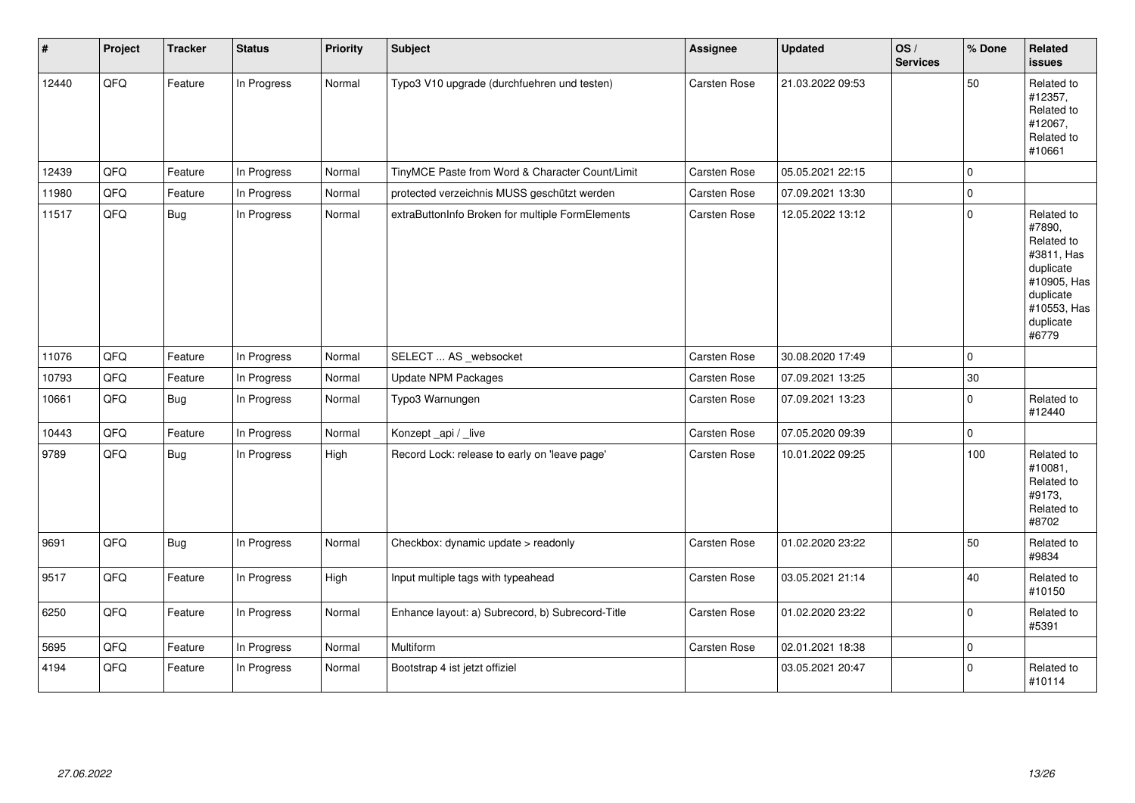| #     | Project | <b>Tracker</b> | <b>Status</b> | <b>Priority</b> | Subject                                          | Assignee            | <b>Updated</b>   | OS/<br><b>Services</b> | % Done      | Related<br><b>issues</b>                                                                                                       |
|-------|---------|----------------|---------------|-----------------|--------------------------------------------------|---------------------|------------------|------------------------|-------------|--------------------------------------------------------------------------------------------------------------------------------|
| 12440 | QFQ     | Feature        | In Progress   | Normal          | Typo3 V10 upgrade (durchfuehren und testen)      | Carsten Rose        | 21.03.2022 09:53 |                        | 50          | Related to<br>#12357,<br>Related to<br>#12067,<br>Related to<br>#10661                                                         |
| 12439 | QFQ     | Feature        | In Progress   | Normal          | TinyMCE Paste from Word & Character Count/Limit  | Carsten Rose        | 05.05.2021 22:15 |                        | $\mathbf 0$ |                                                                                                                                |
| 11980 | QFQ     | Feature        | In Progress   | Normal          | protected verzeichnis MUSS geschützt werden      | Carsten Rose        | 07.09.2021 13:30 |                        | $\pmb{0}$   |                                                                                                                                |
| 11517 | QFQ     | <b>Bug</b>     | In Progress   | Normal          | extraButtonInfo Broken for multiple FormElements | <b>Carsten Rose</b> | 12.05.2022 13:12 |                        | $\pmb{0}$   | Related to<br>#7890,<br>Related to<br>#3811, Has<br>duplicate<br>#10905, Has<br>duplicate<br>#10553, Has<br>duplicate<br>#6779 |
| 11076 | QFQ     | Feature        | In Progress   | Normal          | SELECT  AS _websocket                            | Carsten Rose        | 30.08.2020 17:49 |                        | $\pmb{0}$   |                                                                                                                                |
| 10793 | QFQ     | Feature        | In Progress   | Normal          | <b>Update NPM Packages</b>                       | Carsten Rose        | 07.09.2021 13:25 |                        | $30\,$      |                                                                                                                                |
| 10661 | QFQ     | <b>Bug</b>     | In Progress   | Normal          | Typo3 Warnungen                                  | <b>Carsten Rose</b> | 07.09.2021 13:23 |                        | $\pmb{0}$   | Related to<br>#12440                                                                                                           |
| 10443 | QFQ     | Feature        | In Progress   | Normal          | Konzept_api / _live                              | Carsten Rose        | 07.05.2020 09:39 |                        | $\mathbf 0$ |                                                                                                                                |
| 9789  | QFQ     | <b>Bug</b>     | In Progress   | High            | Record Lock: release to early on 'leave page'    | Carsten Rose        | 10.01.2022 09:25 |                        | 100         | Related to<br>#10081,<br>Related to<br>#9173,<br>Related to<br>#8702                                                           |
| 9691  | QFQ     | <b>Bug</b>     | In Progress   | Normal          | Checkbox: dynamic update > readonly              | Carsten Rose        | 01.02.2020 23:22 |                        | 50          | Related to<br>#9834                                                                                                            |
| 9517  | QFQ     | Feature        | In Progress   | High            | Input multiple tags with typeahead               | Carsten Rose        | 03.05.2021 21:14 |                        | 40          | Related to<br>#10150                                                                                                           |
| 6250  | QFQ     | Feature        | In Progress   | Normal          | Enhance layout: a) Subrecord, b) Subrecord-Title | Carsten Rose        | 01.02.2020 23:22 |                        | $\mathbf 0$ | Related to<br>#5391                                                                                                            |
| 5695  | QFQ     | Feature        | In Progress   | Normal          | Multiform                                        | Carsten Rose        | 02.01.2021 18:38 |                        | $\pmb{0}$   |                                                                                                                                |
| 4194  | QFQ     | Feature        | In Progress   | Normal          | Bootstrap 4 ist jetzt offiziel                   |                     | 03.05.2021 20:47 |                        | $\Omega$    | Related to<br>#10114                                                                                                           |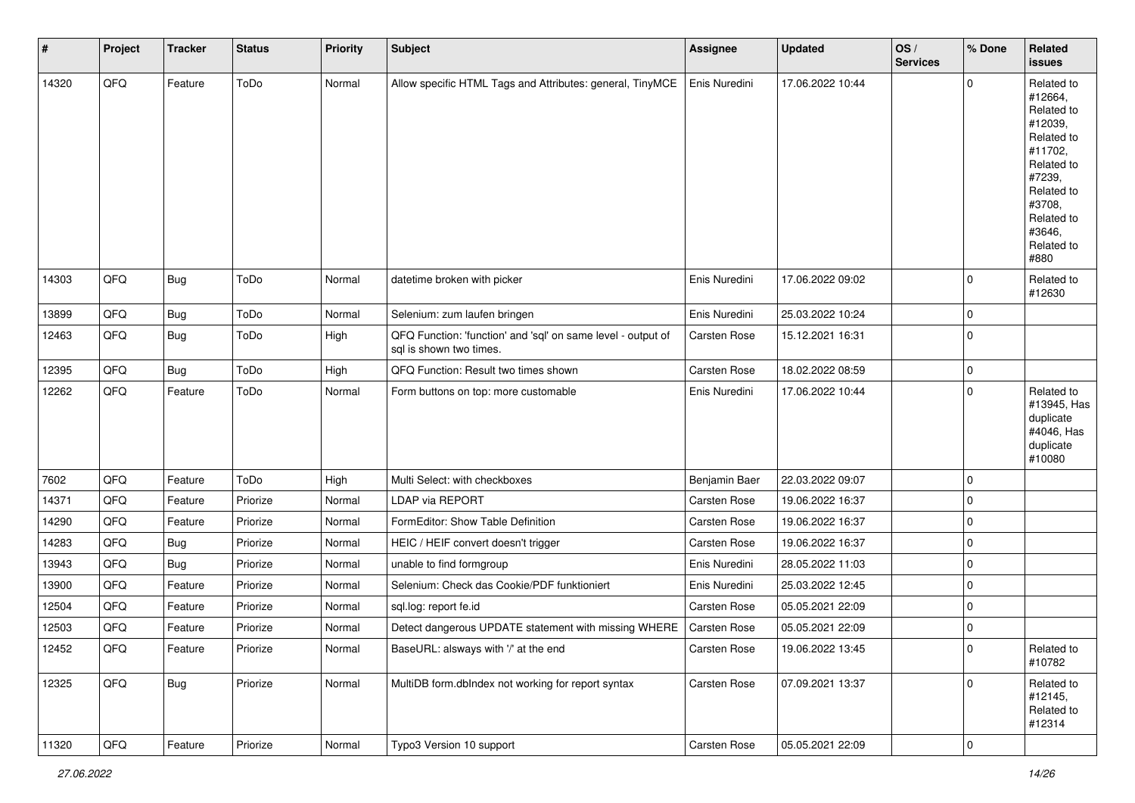| $\sharp$ | Project | <b>Tracker</b> | <b>Status</b> | <b>Priority</b> | Subject                                                                                 | <b>Assignee</b>     | <b>Updated</b>   | OS/<br><b>Services</b> | % Done         | Related<br><b>issues</b>                                                                                                                                              |
|----------|---------|----------------|---------------|-----------------|-----------------------------------------------------------------------------------------|---------------------|------------------|------------------------|----------------|-----------------------------------------------------------------------------------------------------------------------------------------------------------------------|
| 14320    | QFQ     | Feature        | ToDo          | Normal          | Allow specific HTML Tags and Attributes: general, TinyMCE                               | Enis Nuredini       | 17.06.2022 10:44 |                        | $\mathbf 0$    | Related to<br>#12664,<br>Related to<br>#12039,<br>Related to<br>#11702,<br>Related to<br>#7239,<br>Related to<br>#3708,<br>Related to<br>#3646,<br>Related to<br>#880 |
| 14303    | QFQ     | <b>Bug</b>     | ToDo          | Normal          | datetime broken with picker                                                             | Enis Nuredini       | 17.06.2022 09:02 |                        | $\overline{0}$ | Related to<br>#12630                                                                                                                                                  |
| 13899    | QFQ     | Bug            | ToDo          | Normal          | Selenium: zum laufen bringen                                                            | Enis Nuredini       | 25.03.2022 10:24 |                        | 0              |                                                                                                                                                                       |
| 12463    | QFQ     | <b>Bug</b>     | ToDo          | High            | QFQ Function: 'function' and 'sql' on same level - output of<br>sal is shown two times. | <b>Carsten Rose</b> | 15.12.2021 16:31 |                        | $\mathbf 0$    |                                                                                                                                                                       |
| 12395    | QFQ     | <b>Bug</b>     | ToDo          | High            | QFQ Function: Result two times shown                                                    | Carsten Rose        | 18.02.2022 08:59 |                        | $\mathbf 0$    |                                                                                                                                                                       |
| 12262    | QFQ     | Feature        | ToDo          | Normal          | Form buttons on top: more customable                                                    | Enis Nuredini       | 17.06.2022 10:44 |                        | $\mathbf 0$    | Related to<br>#13945, Has<br>duplicate<br>#4046, Has<br>duplicate<br>#10080                                                                                           |
| 7602     | QFQ     | Feature        | ToDo          | High            | Multi Select: with checkboxes                                                           | Benjamin Baer       | 22.03.2022 09:07 |                        | $\mathbf 0$    |                                                                                                                                                                       |
| 14371    | QFQ     | Feature        | Priorize      | Normal          | LDAP via REPORT                                                                         | <b>Carsten Rose</b> | 19.06.2022 16:37 |                        | $\mathbf 0$    |                                                                                                                                                                       |
| 14290    | QFQ     | Feature        | Priorize      | Normal          | FormEditor: Show Table Definition                                                       | Carsten Rose        | 19.06.2022 16:37 |                        | $\pmb{0}$      |                                                                                                                                                                       |
| 14283    | QFQ     | <b>Bug</b>     | Priorize      | Normal          | HEIC / HEIF convert doesn't trigger                                                     | Carsten Rose        | 19.06.2022 16:37 |                        | $\mathbf 0$    |                                                                                                                                                                       |
| 13943    | QFQ     | <b>Bug</b>     | Priorize      | Normal          | unable to find formgroup                                                                | Enis Nuredini       | 28.05.2022 11:03 |                        | $\mathbf 0$    |                                                                                                                                                                       |
| 13900    | QFQ     | Feature        | Priorize      | Normal          | Selenium: Check das Cookie/PDF funktioniert                                             | Enis Nuredini       | 25.03.2022 12:45 |                        | $\mathbf 0$    |                                                                                                                                                                       |
| 12504    | QFQ     | Feature        | Priorize      | Normal          | sql.log: report fe.id                                                                   | Carsten Rose        | 05.05.2021 22:09 |                        | $\mathbf 0$    |                                                                                                                                                                       |
| 12503    | QFQ     | Feature        | Priorize      | Normal          | Detect dangerous UPDATE statement with missing WHERE                                    | Carsten Rose        | 05.05.2021 22:09 |                        | $\pmb{0}$      |                                                                                                                                                                       |
| 12452    | QFQ     | Feature        | Priorize      | Normal          | BaseURL: alsways with '/' at the end                                                    | <b>Carsten Rose</b> | 19.06.2022 13:45 |                        | $\mathbf 0$    | Related to<br>#10782                                                                                                                                                  |
| 12325    | QFQ     | <b>Bug</b>     | Priorize      | Normal          | MultiDB form.dbIndex not working for report syntax                                      | Carsten Rose        | 07.09.2021 13:37 |                        | $\mathbf 0$    | Related to<br>#12145,<br>Related to<br>#12314                                                                                                                         |
| 11320    | QFQ     | Feature        | Priorize      | Normal          | Typo3 Version 10 support                                                                | Carsten Rose        | 05.05.2021 22:09 |                        | $\mathbf 0$    |                                                                                                                                                                       |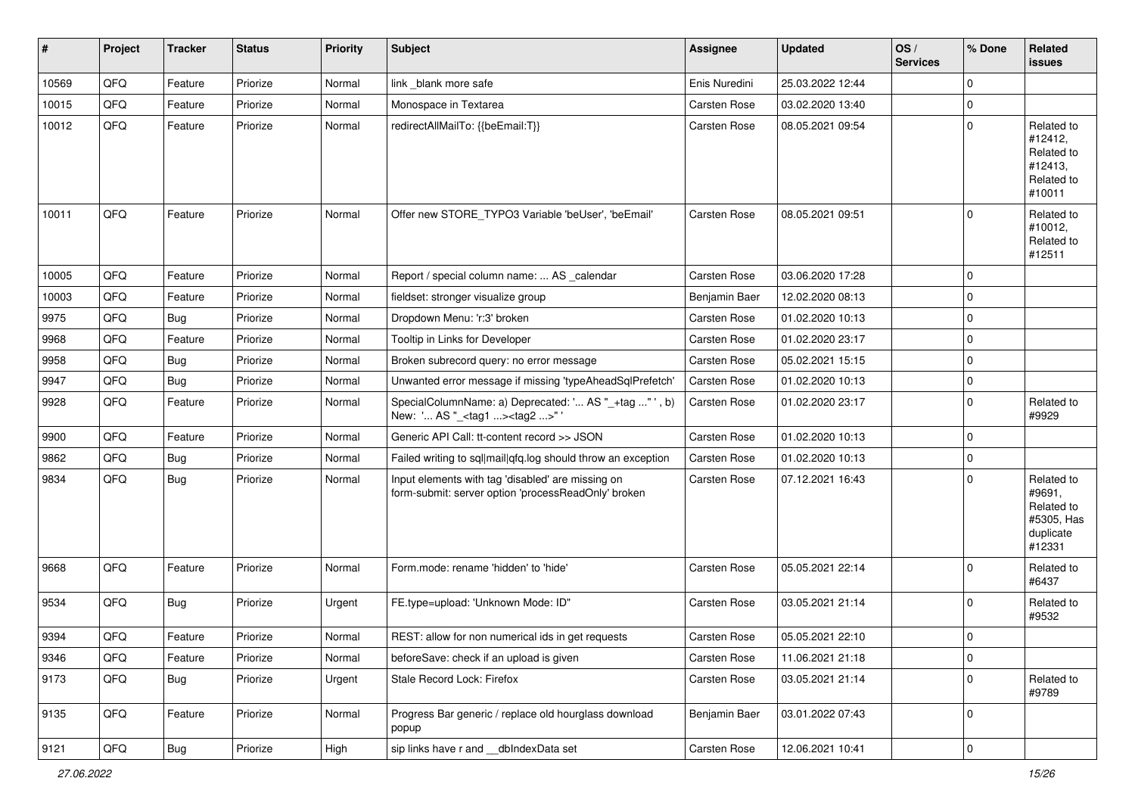| $\sharp$ | Project        | <b>Tracker</b> | <b>Status</b> | <b>Priority</b> | Subject                                                                                                  | <b>Assignee</b>     | <b>Updated</b>   | OS/<br><b>Services</b> | % Done      | Related<br><b>issues</b>                                                |
|----------|----------------|----------------|---------------|-----------------|----------------------------------------------------------------------------------------------------------|---------------------|------------------|------------------------|-------------|-------------------------------------------------------------------------|
| 10569    | QFQ            | Feature        | Priorize      | Normal          | link _blank more safe                                                                                    | Enis Nuredini       | 25.03.2022 12:44 |                        | $\mathbf 0$ |                                                                         |
| 10015    | QFQ            | Feature        | Priorize      | Normal          | Monospace in Textarea                                                                                    | <b>Carsten Rose</b> | 03.02.2020 13:40 |                        | $\mathbf 0$ |                                                                         |
| 10012    | QFQ            | Feature        | Priorize      | Normal          | redirectAllMailTo: {{beEmail:T}}                                                                         | Carsten Rose        | 08.05.2021 09:54 |                        | $\mathbf 0$ | Related to<br>#12412,<br>Related to<br>#12413,<br>Related to<br>#10011  |
| 10011    | QFQ            | Feature        | Priorize      | Normal          | Offer new STORE_TYPO3 Variable 'beUser', 'beEmail'                                                       | <b>Carsten Rose</b> | 08.05.2021 09:51 |                        | $\Omega$    | Related to<br>#10012,<br>Related to<br>#12511                           |
| 10005    | QFQ            | Feature        | Priorize      | Normal          | Report / special column name:  AS _calendar                                                              | <b>Carsten Rose</b> | 03.06.2020 17:28 |                        | $\mathbf 0$ |                                                                         |
| 10003    | QFQ            | Feature        | Priorize      | Normal          | fieldset: stronger visualize group                                                                       | Benjamin Baer       | 12.02.2020 08:13 |                        | $\mathbf 0$ |                                                                         |
| 9975     | QFQ            | Bug            | Priorize      | Normal          | Dropdown Menu: 'r:3' broken                                                                              | <b>Carsten Rose</b> | 01.02.2020 10:13 |                        | $\mathbf 0$ |                                                                         |
| 9968     | QFQ            | Feature        | Priorize      | Normal          | Tooltip in Links for Developer                                                                           | <b>Carsten Rose</b> | 01.02.2020 23:17 |                        | $\mathbf 0$ |                                                                         |
| 9958     | QFQ            | Bug            | Priorize      | Normal          | Broken subrecord query: no error message                                                                 | Carsten Rose        | 05.02.2021 15:15 |                        | $\mathbf 0$ |                                                                         |
| 9947     | QFQ            | <b>Bug</b>     | Priorize      | Normal          | Unwanted error message if missing 'typeAheadSqlPrefetch'                                                 | <b>Carsten Rose</b> | 01.02.2020 10:13 |                        | $\mathbf 0$ |                                                                         |
| 9928     | QFQ            | Feature        | Priorize      | Normal          | SpecialColumnName: a) Deprecated: ' AS "_+tag " ', b)<br>New: ' AS "_ <tag1><tag2>"</tag2></tag1>        | Carsten Rose        | 01.02.2020 23:17 |                        | $\mathbf 0$ | Related to<br>#9929                                                     |
| 9900     | QFQ            | Feature        | Priorize      | Normal          | Generic API Call: tt-content record >> JSON                                                              | Carsten Rose        | 01.02.2020 10:13 |                        | $\mathbf 0$ |                                                                         |
| 9862     | QFQ            | Bug            | Priorize      | Normal          | Failed writing to sql mail qfq.log should throw an exception                                             | <b>Carsten Rose</b> | 01.02.2020 10:13 |                        | $\mathbf 0$ |                                                                         |
| 9834     | QFQ            | <b>Bug</b>     | Priorize      | Normal          | Input elements with tag 'disabled' are missing on<br>form-submit: server option 'processReadOnly' broken | Carsten Rose        | 07.12.2021 16:43 |                        | $\mathbf 0$ | Related to<br>#9691,<br>Related to<br>#5305, Has<br>duplicate<br>#12331 |
| 9668     | QFQ            | Feature        | Priorize      | Normal          | Form.mode: rename 'hidden' to 'hide'                                                                     | <b>Carsten Rose</b> | 05.05.2021 22:14 |                        | $\mathbf 0$ | Related to<br>#6437                                                     |
| 9534     | QFQ            | Bug            | Priorize      | Urgent          | FE.type=upload: 'Unknown Mode: ID"                                                                       | Carsten Rose        | 03.05.2021 21:14 |                        | $\mathbf 0$ | Related to<br>#9532                                                     |
| 9394     | QFQ            | Feature        | Priorize      | Normal          | REST: allow for non numerical ids in get requests                                                        | <b>Carsten Rose</b> | 05.05.2021 22:10 |                        | $\Omega$    |                                                                         |
| 9346     | QFQ            | Feature        | Priorize      | Normal          | beforeSave: check if an upload is given                                                                  | Carsten Rose        | 11.06.2021 21:18 |                        | $\mathbf 0$ |                                                                         |
| 9173     | QFQ            | <b>Bug</b>     | Priorize      | Urgent          | Stale Record Lock: Firefox                                                                               | Carsten Rose        | 03.05.2021 21:14 |                        | $\mathbf 0$ | Related to<br>#9789                                                     |
| 9135     | QFQ            | Feature        | Priorize      | Normal          | Progress Bar generic / replace old hourglass download<br>popup                                           | Benjamin Baer       | 03.01.2022 07:43 |                        | $\mathbf 0$ |                                                                         |
| 9121     | $\mathsf{QFQ}$ | Bug            | Priorize      | High            | sip links have r and __dbIndexData set                                                                   | Carsten Rose        | 12.06.2021 10:41 |                        | $\pmb{0}$   |                                                                         |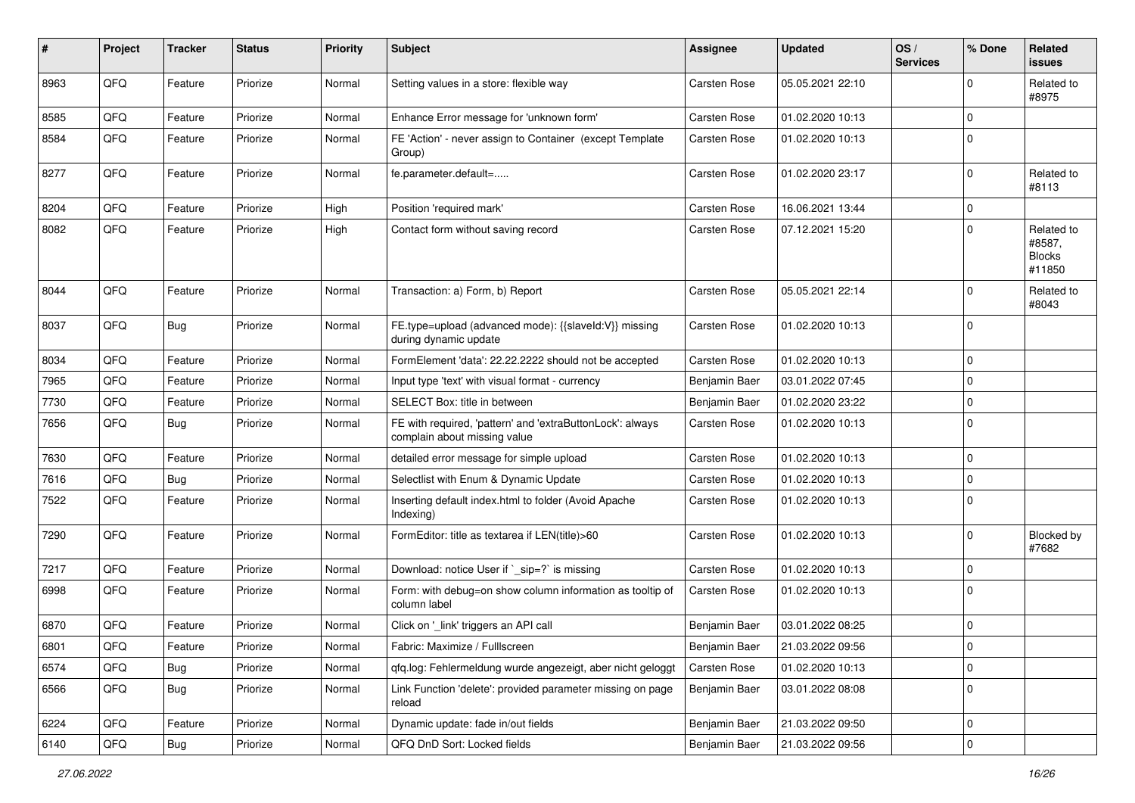| $\#$ | Project | <b>Tracker</b> | <b>Status</b> | <b>Priority</b> | <b>Subject</b>                                                                            | <b>Assignee</b>     | <b>Updated</b>   | OS/<br><b>Services</b> | % Done         | Related<br><b>issues</b>                        |
|------|---------|----------------|---------------|-----------------|-------------------------------------------------------------------------------------------|---------------------|------------------|------------------------|----------------|-------------------------------------------------|
| 8963 | QFQ     | Feature        | Priorize      | Normal          | Setting values in a store: flexible way                                                   | <b>Carsten Rose</b> | 05.05.2021 22:10 |                        | $\mathbf 0$    | Related to<br>#8975                             |
| 8585 | QFQ     | Feature        | Priorize      | Normal          | Enhance Error message for 'unknown form'                                                  | <b>Carsten Rose</b> | 01.02.2020 10:13 |                        | $\mathbf 0$    |                                                 |
| 8584 | QFQ     | Feature        | Priorize      | Normal          | FE 'Action' - never assign to Container (except Template<br>Group)                        | <b>Carsten Rose</b> | 01.02.2020 10:13 |                        | $\overline{0}$ |                                                 |
| 8277 | QFQ     | Feature        | Priorize      | Normal          | fe.parameter.default=                                                                     | <b>Carsten Rose</b> | 01.02.2020 23:17 |                        | $\mathbf 0$    | Related to<br>#8113                             |
| 8204 | QFQ     | Feature        | Priorize      | High            | Position 'required mark'                                                                  | <b>Carsten Rose</b> | 16.06.2021 13:44 |                        | $\mathbf 0$    |                                                 |
| 8082 | QFQ     | Feature        | Priorize      | High            | Contact form without saving record                                                        | <b>Carsten Rose</b> | 07.12.2021 15:20 |                        | $\mathbf 0$    | Related to<br>#8587,<br><b>Blocks</b><br>#11850 |
| 8044 | QFQ     | Feature        | Priorize      | Normal          | Transaction: a) Form, b) Report                                                           | <b>Carsten Rose</b> | 05.05.2021 22:14 |                        | $\mathbf 0$    | Related to<br>#8043                             |
| 8037 | QFQ     | <b>Bug</b>     | Priorize      | Normal          | FE.type=upload (advanced mode): {{slaveId:V}} missing<br>during dynamic update            | <b>Carsten Rose</b> | 01.02.2020 10:13 |                        | $\mathbf 0$    |                                                 |
| 8034 | QFQ     | Feature        | Priorize      | Normal          | FormElement 'data': 22.22.2222 should not be accepted                                     | Carsten Rose        | 01.02.2020 10:13 |                        | $\pmb{0}$      |                                                 |
| 7965 | QFQ     | Feature        | Priorize      | Normal          | Input type 'text' with visual format - currency                                           | Benjamin Baer       | 03.01.2022 07:45 |                        | $\mathbf 0$    |                                                 |
| 7730 | QFQ     | Feature        | Priorize      | Normal          | SELECT Box: title in between                                                              | Benjamin Baer       | 01.02.2020 23:22 |                        | $\mathbf 0$    |                                                 |
| 7656 | QFQ     | <b>Bug</b>     | Priorize      | Normal          | FE with required, 'pattern' and 'extraButtonLock': always<br>complain about missing value | <b>Carsten Rose</b> | 01.02.2020 10:13 |                        | $\mathbf 0$    |                                                 |
| 7630 | QFQ     | Feature        | Priorize      | Normal          | detailed error message for simple upload                                                  | <b>Carsten Rose</b> | 01.02.2020 10:13 |                        | $\mathbf 0$    |                                                 |
| 7616 | QFQ     | <b>Bug</b>     | Priorize      | Normal          | Selectlist with Enum & Dynamic Update                                                     | Carsten Rose        | 01.02.2020 10:13 |                        | $\mathbf 0$    |                                                 |
| 7522 | QFQ     | Feature        | Priorize      | Normal          | Inserting default index.html to folder (Avoid Apache<br>Indexing)                         | <b>Carsten Rose</b> | 01.02.2020 10:13 |                        | $\mathbf 0$    |                                                 |
| 7290 | QFQ     | Feature        | Priorize      | Normal          | FormEditor: title as textarea if LEN(title)>60                                            | <b>Carsten Rose</b> | 01.02.2020 10:13 |                        | $\overline{0}$ | Blocked by<br>#7682                             |
| 7217 | QFQ     | Feature        | Priorize      | Normal          | Download: notice User if `_sip=?` is missing                                              | <b>Carsten Rose</b> | 01.02.2020 10:13 |                        | $\mathbf 0$    |                                                 |
| 6998 | QFQ     | Feature        | Priorize      | Normal          | Form: with debug=on show column information as tooltip of<br>column label                 | <b>Carsten Rose</b> | 01.02.2020 10:13 |                        | $\overline{0}$ |                                                 |
| 6870 | QFQ     | Feature        | Priorize      | Normal          | Click on '_link' triggers an API call                                                     | Benjamin Baer       | 03.01.2022 08:25 |                        | $\mathbf 0$    |                                                 |
| 6801 | QFQ     | Feature        | Priorize      | Normal          | Fabric: Maximize / FullIscreen                                                            | Benjamin Baer       | 21.03.2022 09:56 |                        | 0              |                                                 |
| 6574 | QFQ     | <b>Bug</b>     | Priorize      | Normal          | qfq.log: Fehlermeldung wurde angezeigt, aber nicht geloggt                                | Carsten Rose        | 01.02.2020 10:13 |                        | $\pmb{0}$      |                                                 |
| 6566 | QFQ     | <b>Bug</b>     | Priorize      | Normal          | Link Function 'delete': provided parameter missing on page<br>reload                      | Benjamin Baer       | 03.01.2022 08:08 |                        | $\mathbf 0$    |                                                 |
| 6224 | QFQ     | Feature        | Priorize      | Normal          | Dynamic update: fade in/out fields                                                        | Benjamin Baer       | 21.03.2022 09:50 |                        | $\mathbf 0$    |                                                 |
| 6140 | QFQ     | Bug            | Priorize      | Normal          | QFQ DnD Sort: Locked fields                                                               | Benjamin Baer       | 21.03.2022 09:56 |                        | $\mathbf 0$    |                                                 |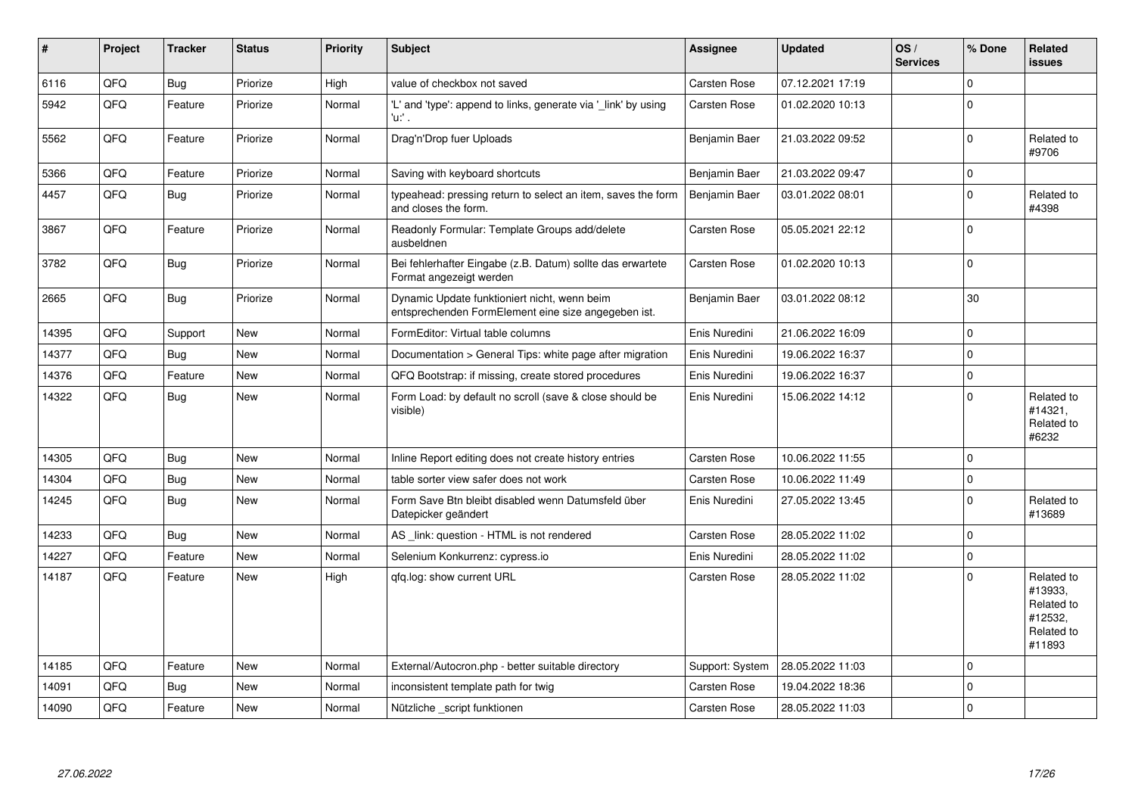| #     | Project | <b>Tracker</b> | <b>Status</b> | <b>Priority</b> | <b>Subject</b>                                                                                      | <b>Assignee</b>      | <b>Updated</b>   | OS/<br><b>Services</b> | % Done       | Related<br><b>issues</b>                                               |
|-------|---------|----------------|---------------|-----------------|-----------------------------------------------------------------------------------------------------|----------------------|------------------|------------------------|--------------|------------------------------------------------------------------------|
| 6116  | QFQ     | <b>Bug</b>     | Priorize      | High            | value of checkbox not saved                                                                         | <b>Carsten Rose</b>  | 07.12.2021 17:19 |                        | $\Omega$     |                                                                        |
| 5942  | QFQ     | Feature        | Priorize      | Normal          | 'L' and 'type': append to links, generate via '_link' by using<br>'u:' .                            | Carsten Rose         | 01.02.2020 10:13 |                        | $\mathbf{0}$ |                                                                        |
| 5562  | QFQ     | Feature        | Priorize      | Normal          | Drag'n'Drop fuer Uploads                                                                            | <b>Benjamin Baer</b> | 21.03.2022 09:52 |                        | $\Omega$     | Related to<br>#9706                                                    |
| 5366  | QFQ     | Feature        | Priorize      | Normal          | Saving with keyboard shortcuts                                                                      | Benjamin Baer        | 21.03.2022 09:47 |                        | $\mathbf 0$  |                                                                        |
| 4457  | QFQ     | <b>Bug</b>     | Priorize      | Normal          | typeahead: pressing return to select an item, saves the form<br>and closes the form.                | Benjamin Baer        | 03.01.2022 08:01 |                        | $\mathbf 0$  | Related to<br>#4398                                                    |
| 3867  | QFQ     | Feature        | Priorize      | Normal          | Readonly Formular: Template Groups add/delete<br>ausbeldnen                                         | Carsten Rose         | 05.05.2021 22:12 |                        | $\Omega$     |                                                                        |
| 3782  | QFQ     | <b>Bug</b>     | Priorize      | Normal          | Bei fehlerhafter Eingabe (z.B. Datum) sollte das erwartete<br>Format angezeigt werden               | Carsten Rose         | 01.02.2020 10:13 |                        | $\Omega$     |                                                                        |
| 2665  | QFQ     | <b>Bug</b>     | Priorize      | Normal          | Dynamic Update funktioniert nicht, wenn beim<br>entsprechenden FormElement eine size angegeben ist. | Benjamin Baer        | 03.01.2022 08:12 |                        | 30           |                                                                        |
| 14395 | QFQ     | Support        | <b>New</b>    | Normal          | FormEditor: Virtual table columns                                                                   | Enis Nuredini        | 21.06.2022 16:09 |                        | $\Omega$     |                                                                        |
| 14377 | QFQ     | Bug            | <b>New</b>    | Normal          | Documentation > General Tips: white page after migration                                            | Enis Nuredini        | 19.06.2022 16:37 |                        | $\Omega$     |                                                                        |
| 14376 | QFQ     | Feature        | New           | Normal          | QFQ Bootstrap: if missing, create stored procedures                                                 | Enis Nuredini        | 19.06.2022 16:37 |                        | $\Omega$     |                                                                        |
| 14322 | QFQ     | <b>Bug</b>     | New           | Normal          | Form Load: by default no scroll (save & close should be<br>visible)                                 | Enis Nuredini        | 15.06.2022 14:12 |                        | $\Omega$     | Related to<br>#14321,<br>Related to<br>#6232                           |
| 14305 | QFQ     | <b>Bug</b>     | <b>New</b>    | Normal          | Inline Report editing does not create history entries                                               | Carsten Rose         | 10.06.2022 11:55 |                        | $\Omega$     |                                                                        |
| 14304 | QFQ     | <b>Bug</b>     | <b>New</b>    | Normal          | table sorter view safer does not work                                                               | <b>Carsten Rose</b>  | 10.06.2022 11:49 |                        | $\mathbf 0$  |                                                                        |
| 14245 | QFQ     | <b>Bug</b>     | New           | Normal          | Form Save Btn bleibt disabled wenn Datumsfeld über<br>Datepicker geändert                           | Enis Nuredini        | 27.05.2022 13:45 |                        | $\mathbf 0$  | Related to<br>#13689                                                   |
| 14233 | QFQ     | Bug            | <b>New</b>    | Normal          | AS link: question - HTML is not rendered                                                            | Carsten Rose         | 28.05.2022 11:02 |                        | $\mathbf{0}$ |                                                                        |
| 14227 | QFQ     | Feature        | New           | Normal          | Selenium Konkurrenz: cypress.io                                                                     | Enis Nuredini        | 28.05.2022 11:02 |                        | $\Omega$     |                                                                        |
| 14187 | QFQ     | Feature        | New           | High            | gfg.log: show current URL                                                                           | Carsten Rose         | 28.05.2022 11:02 |                        | $\Omega$     | Related to<br>#13933.<br>Related to<br>#12532,<br>Related to<br>#11893 |
| 14185 | QFQ     | Feature        | <b>New</b>    | Normal          | External/Autocron.php - better suitable directory                                                   | Support: System      | 28.05.2022 11:03 |                        | $\Omega$     |                                                                        |
| 14091 | QFQ     | Bug            | New           | Normal          | inconsistent template path for twig                                                                 | Carsten Rose         | 19.04.2022 18:36 |                        | $\mathbf 0$  |                                                                        |
| 14090 | QFQ     | Feature        | New           | Normal          | Nützliche script funktionen                                                                         | Carsten Rose         | 28.05.2022 11:03 |                        | $\Omega$     |                                                                        |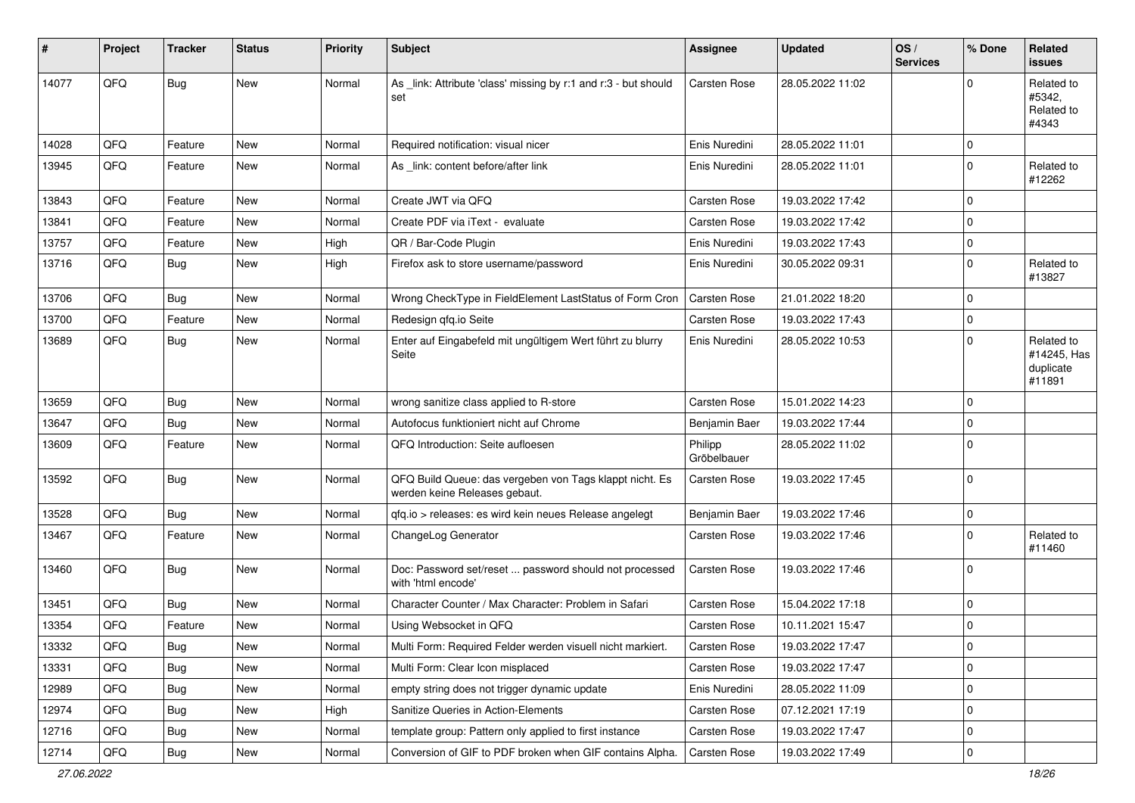| ∦     | Project | <b>Tracker</b> | <b>Status</b> | <b>Priority</b> | Subject                                                                                  | <b>Assignee</b>        | <b>Updated</b>   | OS/<br><b>Services</b> | % Done         | Related<br><b>issues</b>                         |
|-------|---------|----------------|---------------|-----------------|------------------------------------------------------------------------------------------|------------------------|------------------|------------------------|----------------|--------------------------------------------------|
| 14077 | QFQ     | <b>Bug</b>     | <b>New</b>    | Normal          | As _link: Attribute 'class' missing by r:1 and r:3 - but should<br>set                   | Carsten Rose           | 28.05.2022 11:02 |                        | $\mathbf 0$    | Related to<br>#5342.<br>Related to<br>#4343      |
| 14028 | QFQ     | Feature        | <b>New</b>    | Normal          | Required notification: visual nicer                                                      | Enis Nuredini          | 28.05.2022 11:01 |                        | $\mathbf 0$    |                                                  |
| 13945 | QFQ     | Feature        | New           | Normal          | As _link: content before/after link                                                      | Enis Nuredini          | 28.05.2022 11:01 |                        | $\overline{0}$ | Related to<br>#12262                             |
| 13843 | QFQ     | Feature        | <b>New</b>    | Normal          | Create JWT via QFQ                                                                       | <b>Carsten Rose</b>    | 19.03.2022 17:42 |                        | $\mathbf 0$    |                                                  |
| 13841 | QFQ     | Feature        | <b>New</b>    | Normal          | Create PDF via iText - evaluate                                                          | <b>Carsten Rose</b>    | 19.03.2022 17:42 |                        | $\mathbf 0$    |                                                  |
| 13757 | QFQ     | Feature        | New           | High            | QR / Bar-Code Plugin                                                                     | Enis Nuredini          | 19.03.2022 17:43 |                        | $\mathbf 0$    |                                                  |
| 13716 | QFQ     | <b>Bug</b>     | New           | High            | Firefox ask to store username/password                                                   | Enis Nuredini          | 30.05.2022 09:31 |                        | $\overline{0}$ | Related to<br>#13827                             |
| 13706 | QFQ     | <b>Bug</b>     | <b>New</b>    | Normal          | Wrong CheckType in FieldElement LastStatus of Form Cron                                  | <b>Carsten Rose</b>    | 21.01.2022 18:20 |                        | $\mathbf 0$    |                                                  |
| 13700 | QFQ     | Feature        | New           | Normal          | Redesign qfq.io Seite                                                                    | <b>Carsten Rose</b>    | 19.03.2022 17:43 |                        | $\mathbf 0$    |                                                  |
| 13689 | QFQ     | <b>Bug</b>     | <b>New</b>    | Normal          | Enter auf Eingabefeld mit ungültigem Wert führt zu blurry<br>Seite                       | Enis Nuredini          | 28.05.2022 10:53 |                        | $\Omega$       | Related to<br>#14245, Has<br>duplicate<br>#11891 |
| 13659 | QFQ     | <b>Bug</b>     | <b>New</b>    | Normal          | wrong sanitize class applied to R-store                                                  | <b>Carsten Rose</b>    | 15.01.2022 14:23 |                        | $\mathbf 0$    |                                                  |
| 13647 | QFQ     | <b>Bug</b>     | <b>New</b>    | Normal          | Autofocus funktioniert nicht auf Chrome                                                  | Benjamin Baer          | 19.03.2022 17:44 |                        | $\mathbf 0$    |                                                  |
| 13609 | QFQ     | Feature        | New           | Normal          | QFQ Introduction: Seite aufloesen                                                        | Philipp<br>Gröbelbauer | 28.05.2022 11:02 |                        | $\overline{0}$ |                                                  |
| 13592 | QFQ     | <b>Bug</b>     | New           | Normal          | QFQ Build Queue: das vergeben von Tags klappt nicht. Es<br>werden keine Releases gebaut. | <b>Carsten Rose</b>    | 19.03.2022 17:45 |                        | $\mathbf 0$    |                                                  |
| 13528 | QFQ     | <b>Bug</b>     | <b>New</b>    | Normal          | qfq.io > releases: es wird kein neues Release angelegt                                   | Benjamin Baer          | 19.03.2022 17:46 |                        | $\mathbf 0$    |                                                  |
| 13467 | QFQ     | Feature        | <b>New</b>    | Normal          | ChangeLog Generator                                                                      | <b>Carsten Rose</b>    | 19.03.2022 17:46 |                        | $\mathbf 0$    | Related to<br>#11460                             |
| 13460 | QFQ     | <b>Bug</b>     | <b>New</b>    | Normal          | Doc: Password set/reset  password should not processed<br>with 'html encode'             | Carsten Rose           | 19.03.2022 17:46 |                        | $\mathbf 0$    |                                                  |
| 13451 | QFQ     | <b>Bug</b>     | <b>New</b>    | Normal          | Character Counter / Max Character: Problem in Safari                                     | Carsten Rose           | 15.04.2022 17:18 |                        | $\mathbf 0$    |                                                  |
| 13354 | QFQ     | Feature        | New           | Normal          | Using Websocket in QFQ                                                                   | <b>Carsten Rose</b>    | 10.11.2021 15:47 |                        | $\mathbf 0$    |                                                  |
| 13332 | QFQ     | <b>Bug</b>     | <b>New</b>    | Normal          | Multi Form: Required Felder werden visuell nicht markiert.                               | Carsten Rose           | 19.03.2022 17:47 |                        | $\mathbf 0$    |                                                  |
| 13331 | QFQ     | <b>Bug</b>     | New           | Normal          | Multi Form: Clear Icon misplaced                                                         | Carsten Rose           | 19.03.2022 17:47 |                        | $\mathbf 0$    |                                                  |
| 12989 | QFQ     | <b>Bug</b>     | New           | Normal          | empty string does not trigger dynamic update                                             | Enis Nuredini          | 28.05.2022 11:09 |                        | $\mathbf 0$    |                                                  |
| 12974 | QFQ     | <b>Bug</b>     | New           | High            | Sanitize Queries in Action-Elements                                                      | Carsten Rose           | 07.12.2021 17:19 |                        | 0              |                                                  |
| 12716 | QFQ     | <b>Bug</b>     | New           | Normal          | template group: Pattern only applied to first instance                                   | Carsten Rose           | 19.03.2022 17:47 |                        | $\mathbf 0$    |                                                  |
| 12714 | QFQ     | Bug            | New           | Normal          | Conversion of GIF to PDF broken when GIF contains Alpha.                                 | <b>Carsten Rose</b>    | 19.03.2022 17:49 |                        | $\pmb{0}$      |                                                  |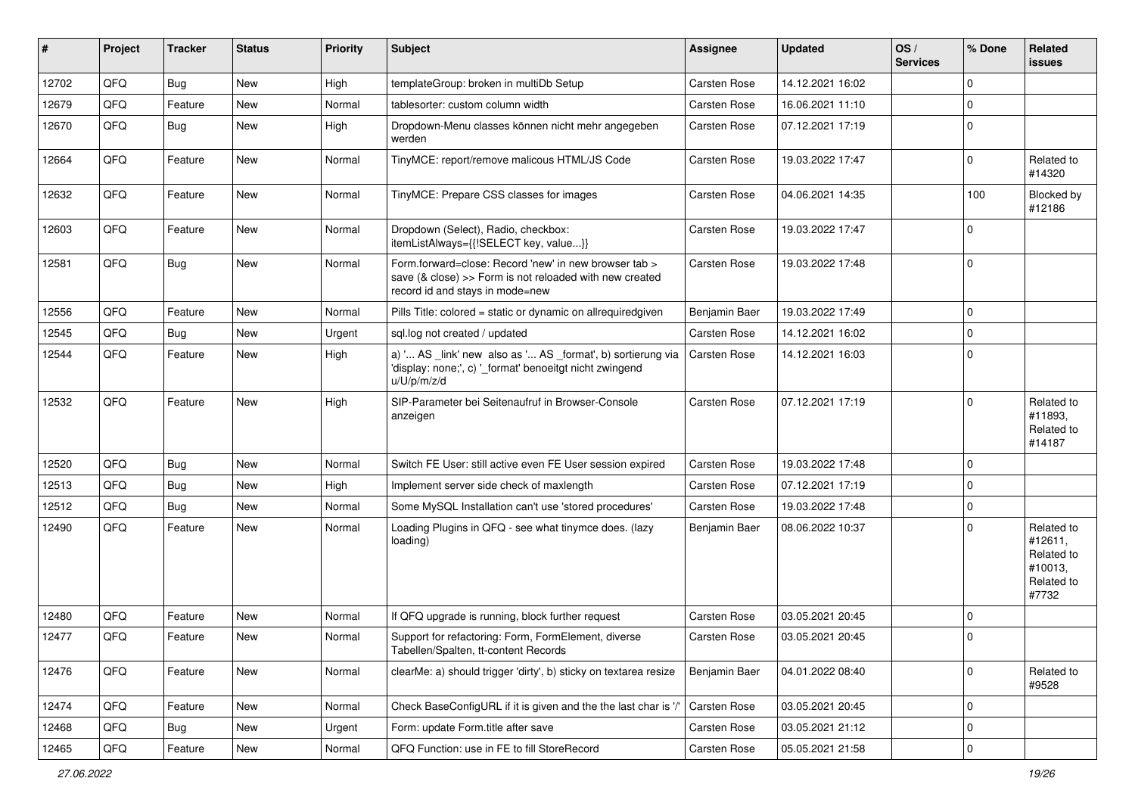| #     | Project | <b>Tracker</b> | <b>Status</b> | <b>Priority</b> | Subject                                                                                                                                             | <b>Assignee</b>     | <b>Updated</b>   | OS/<br><b>Services</b> | % Done              | Related<br><b>issues</b>                                              |
|-------|---------|----------------|---------------|-----------------|-----------------------------------------------------------------------------------------------------------------------------------------------------|---------------------|------------------|------------------------|---------------------|-----------------------------------------------------------------------|
| 12702 | QFQ     | Bug            | New           | High            | templateGroup: broken in multiDb Setup                                                                                                              | <b>Carsten Rose</b> | 14.12.2021 16:02 |                        | $\Omega$            |                                                                       |
| 12679 | QFQ     | Feature        | <b>New</b>    | Normal          | tablesorter: custom column width                                                                                                                    | Carsten Rose        | 16.06.2021 11:10 |                        | $\Omega$            |                                                                       |
| 12670 | QFQ     | <b>Bug</b>     | New           | High            | Dropdown-Menu classes können nicht mehr angegeben<br>werden                                                                                         | <b>Carsten Rose</b> | 07.12.2021 17:19 |                        | $\mathbf 0$         |                                                                       |
| 12664 | QFQ     | Feature        | New           | Normal          | TinyMCE: report/remove malicous HTML/JS Code                                                                                                        | Carsten Rose        | 19.03.2022 17:47 |                        | $\Omega$            | Related to<br>#14320                                                  |
| 12632 | QFQ     | Feature        | New           | Normal          | TinyMCE: Prepare CSS classes for images                                                                                                             | <b>Carsten Rose</b> | 04.06.2021 14:35 |                        | 100                 | Blocked by<br>#12186                                                  |
| 12603 | QFQ     | Feature        | <b>New</b>    | Normal          | Dropdown (Select), Radio, checkbox:<br>itemListAlways={{!SELECT key, value}}                                                                        | <b>Carsten Rose</b> | 19.03.2022 17:47 |                        | $\Omega$            |                                                                       |
| 12581 | QFQ     | <b>Bug</b>     | New           | Normal          | Form.forward=close: Record 'new' in new browser tab ><br>save (& close) >> Form is not reloaded with new created<br>record id and stays in mode=new | Carsten Rose        | 19.03.2022 17:48 |                        | $\mathbf 0$         |                                                                       |
| 12556 | QFQ     | Feature        | New           | Normal          | Pills Title: colored = static or dynamic on allrequiredgiven                                                                                        | Benjamin Baer       | 19.03.2022 17:49 |                        | $\mathbf 0$         |                                                                       |
| 12545 | QFQ     | Bug            | New           | Urgent          | sql.log not created / updated                                                                                                                       | Carsten Rose        | 14.12.2021 16:02 |                        | $\mathbf 0$         |                                                                       |
| 12544 | QFQ     | Feature        | New           | High            | a) ' AS _link' new also as ' AS _format', b) sortierung via<br>'display: none;', c) '_format' benoeitgt nicht zwingend<br>u/U/p/m/z/d               | <b>Carsten Rose</b> | 14.12.2021 16:03 |                        | $\Omega$            |                                                                       |
| 12532 | QFQ     | Feature        | New           | High            | SIP-Parameter bei Seitenaufruf in Browser-Console<br>anzeigen                                                                                       | Carsten Rose        | 07.12.2021 17:19 |                        | $\Omega$            | Related to<br>#11893,<br>Related to<br>#14187                         |
| 12520 | QFQ     | <b>Bug</b>     | <b>New</b>    | Normal          | Switch FE User: still active even FE User session expired                                                                                           | Carsten Rose        | 19.03.2022 17:48 |                        | $\mathbf 0$         |                                                                       |
| 12513 | QFQ     | Bug            | New           | High            | Implement server side check of maxlength                                                                                                            | <b>Carsten Rose</b> | 07.12.2021 17:19 |                        | $\mathbf 0$         |                                                                       |
| 12512 | QFQ     | <b>Bug</b>     | New           | Normal          | Some MySQL Installation can't use 'stored procedures'                                                                                               | <b>Carsten Rose</b> | 19.03.2022 17:48 |                        | $\mathbf 0$         |                                                                       |
| 12490 | QFQ     | Feature        | New           | Normal          | Loading Plugins in QFQ - see what tinymce does. (lazy<br>loading)                                                                                   | Benjamin Baer       | 08.06.2022 10:37 |                        | $\Omega$            | Related to<br>#12611,<br>Related to<br>#10013,<br>Related to<br>#7732 |
| 12480 | QFQ     | Feature        | <b>New</b>    | Normal          | If QFQ upgrade is running, block further request                                                                                                    | <b>Carsten Rose</b> | 03.05.2021 20:45 |                        | $\mathbf 0$         |                                                                       |
| 12477 | QFQ     | Feature        | New           | Normal          | Support for refactoring: Form, FormElement, diverse<br>Tabellen/Spalten, tt-content Records                                                         | <b>Carsten Rose</b> | 03.05.2021 20:45 |                        | $\Omega$            |                                                                       |
| 12476 | QFQ     | Feature        | New           | Normal          | clearMe: a) should trigger 'dirty', b) sticky on textarea resize                                                                                    | Benjamin Baer       | 04.01.2022 08:40 |                        | $\mathbf 0$         | Related to<br>#9528                                                   |
| 12474 | QFQ     | Feature        | New           | Normal          | Check BaseConfigURL if it is given and the the last char is '/                                                                                      | Carsten Rose        | 03.05.2021 20:45 |                        | $\mathbf 0$         |                                                                       |
| 12468 | QFQ     | <b>Bug</b>     | New           | Urgent          | Form: update Form.title after save                                                                                                                  | Carsten Rose        | 03.05.2021 21:12 |                        | $\mathbf 0$         |                                                                       |
| 12465 | QFG     | Feature        | New           | Normal          | QFQ Function: use in FE to fill StoreRecord                                                                                                         | Carsten Rose        | 05.05.2021 21:58 |                        | $\mathsf{O}\xspace$ |                                                                       |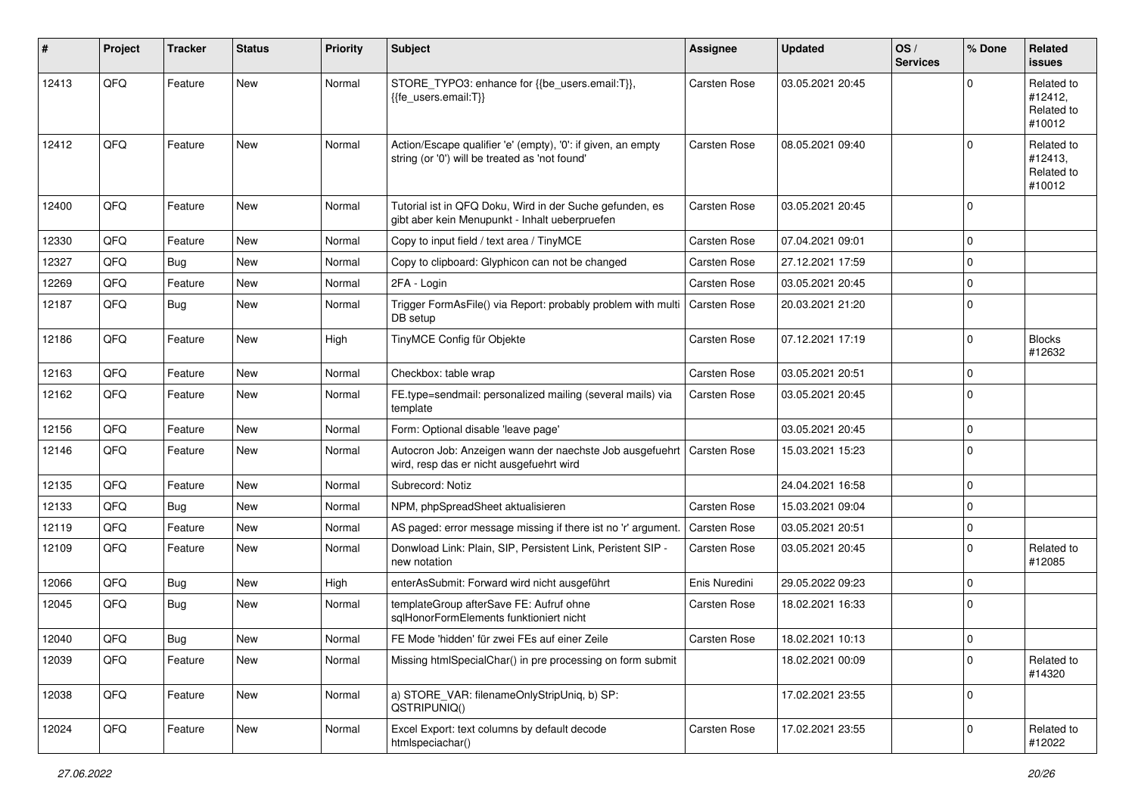| #     | Project | <b>Tracker</b> | <b>Status</b> | Priority | <b>Subject</b>                                                                                                 | <b>Assignee</b>     | <b>Updated</b>   | OS/<br><b>Services</b> | % Done         | <b>Related</b><br><b>issues</b>               |
|-------|---------|----------------|---------------|----------|----------------------------------------------------------------------------------------------------------------|---------------------|------------------|------------------------|----------------|-----------------------------------------------|
| 12413 | QFQ     | Feature        | <b>New</b>    | Normal   | STORE_TYPO3: enhance for {{be_users.email:T}},<br>{{fe users.email:T}}                                         | <b>Carsten Rose</b> | 03.05.2021 20:45 |                        | $\Omega$       | Related to<br>#12412,<br>Related to<br>#10012 |
| 12412 | QFQ     | Feature        | <b>New</b>    | Normal   | Action/Escape qualifier 'e' (empty), '0': if given, an empty<br>string (or '0') will be treated as 'not found' | <b>Carsten Rose</b> | 08.05.2021 09:40 |                        | $\Omega$       | Related to<br>#12413,<br>Related to<br>#10012 |
| 12400 | QFQ     | Feature        | <b>New</b>    | Normal   | Tutorial ist in QFQ Doku, Wird in der Suche gefunden, es<br>gibt aber kein Menupunkt - Inhalt ueberpruefen     | <b>Carsten Rose</b> | 03.05.2021 20:45 |                        | $\Omega$       |                                               |
| 12330 | QFQ     | Feature        | New           | Normal   | Copy to input field / text area / TinyMCE                                                                      | <b>Carsten Rose</b> | 07.04.2021 09:01 |                        | $\mathbf 0$    |                                               |
| 12327 | QFQ     | Bug            | <b>New</b>    | Normal   | Copy to clipboard: Glyphicon can not be changed                                                                | <b>Carsten Rose</b> | 27.12.2021 17:59 |                        | $\mathbf 0$    |                                               |
| 12269 | QFQ     | Feature        | New           | Normal   | 2FA - Login                                                                                                    | <b>Carsten Rose</b> | 03.05.2021 20:45 |                        | $\mathbf 0$    |                                               |
| 12187 | QFQ     | <b>Bug</b>     | New           | Normal   | Trigger FormAsFile() via Report: probably problem with multi<br>DB setup                                       | Carsten Rose        | 20.03.2021 21:20 |                        | $\overline{0}$ |                                               |
| 12186 | QFQ     | Feature        | <b>New</b>    | High     | TinyMCE Config für Objekte                                                                                     | <b>Carsten Rose</b> | 07.12.2021 17:19 |                        | $\mathbf 0$    | <b>Blocks</b><br>#12632                       |
| 12163 | QFQ     | Feature        | <b>New</b>    | Normal   | Checkbox: table wrap                                                                                           | <b>Carsten Rose</b> | 03.05.2021 20:51 |                        | $\mathbf 0$    |                                               |
| 12162 | QFQ     | Feature        | New           | Normal   | FE.type=sendmail: personalized mailing (several mails) via<br>template                                         | <b>Carsten Rose</b> | 03.05.2021 20:45 |                        | $\overline{0}$ |                                               |
| 12156 | QFQ     | Feature        | New           | Normal   | Form: Optional disable 'leave page'                                                                            |                     | 03.05.2021 20:45 |                        | $\mathbf 0$    |                                               |
| 12146 | QFQ     | Feature        | New           | Normal   | Autocron Job: Anzeigen wann der naechste Job ausgefuehrt<br>wird, resp das er nicht ausgefuehrt wird           | <b>Carsten Rose</b> | 15.03.2021 15:23 |                        | $\mathbf 0$    |                                               |
| 12135 | QFQ     | Feature        | <b>New</b>    | Normal   | Subrecord: Notiz                                                                                               |                     | 24.04.2021 16:58 |                        | $\mathbf 0$    |                                               |
| 12133 | QFQ     | Bug            | <b>New</b>    | Normal   | NPM, phpSpreadSheet aktualisieren                                                                              | <b>Carsten Rose</b> | 15.03.2021 09:04 |                        | $\mathbf 0$    |                                               |
| 12119 | QFQ     | Feature        | New           | Normal   | AS paged: error message missing if there ist no 'r' argument.                                                  | <b>Carsten Rose</b> | 03.05.2021 20:51 |                        | $\mathbf 0$    |                                               |
| 12109 | QFQ     | Feature        | New           | Normal   | Donwload Link: Plain, SIP, Persistent Link, Peristent SIP -<br>new notation                                    | <b>Carsten Rose</b> | 03.05.2021 20:45 |                        | $\mathbf 0$    | Related to<br>#12085                          |
| 12066 | QFQ     | Bug            | New           | High     | enterAsSubmit: Forward wird nicht ausgeführt                                                                   | Enis Nuredini       | 29.05.2022 09:23 |                        | $\mathbf 0$    |                                               |
| 12045 | QFQ     | Bug            | New           | Normal   | templateGroup afterSave FE: Aufruf ohne<br>sqlHonorFormElements funktioniert nicht                             | <b>Carsten Rose</b> | 18.02.2021 16:33 |                        | $\overline{0}$ |                                               |
| 12040 | QFQ     | Bug            | New           | Normal   | FE Mode 'hidden' für zwei FEs auf einer Zeile                                                                  | <b>Carsten Rose</b> | 18.02.2021 10:13 |                        | $\overline{0}$ |                                               |
| 12039 | QFQ     | Feature        | New           | Normal   | Missing htmlSpecialChar() in pre processing on form submit                                                     |                     | 18.02.2021 00:09 |                        | $\mathbf 0$    | Related to<br>#14320                          |
| 12038 | QFQ     | Feature        | New           | Normal   | a) STORE_VAR: filenameOnlyStripUniq, b) SP:<br>QSTRIPUNIQ()                                                    |                     | 17.02.2021 23:55 |                        | 0              |                                               |
| 12024 | QFQ     | Feature        | New           | Normal   | Excel Export: text columns by default decode<br>htmlspeciachar()                                               | Carsten Rose        | 17.02.2021 23:55 |                        | $\mathbf 0$    | Related to<br>#12022                          |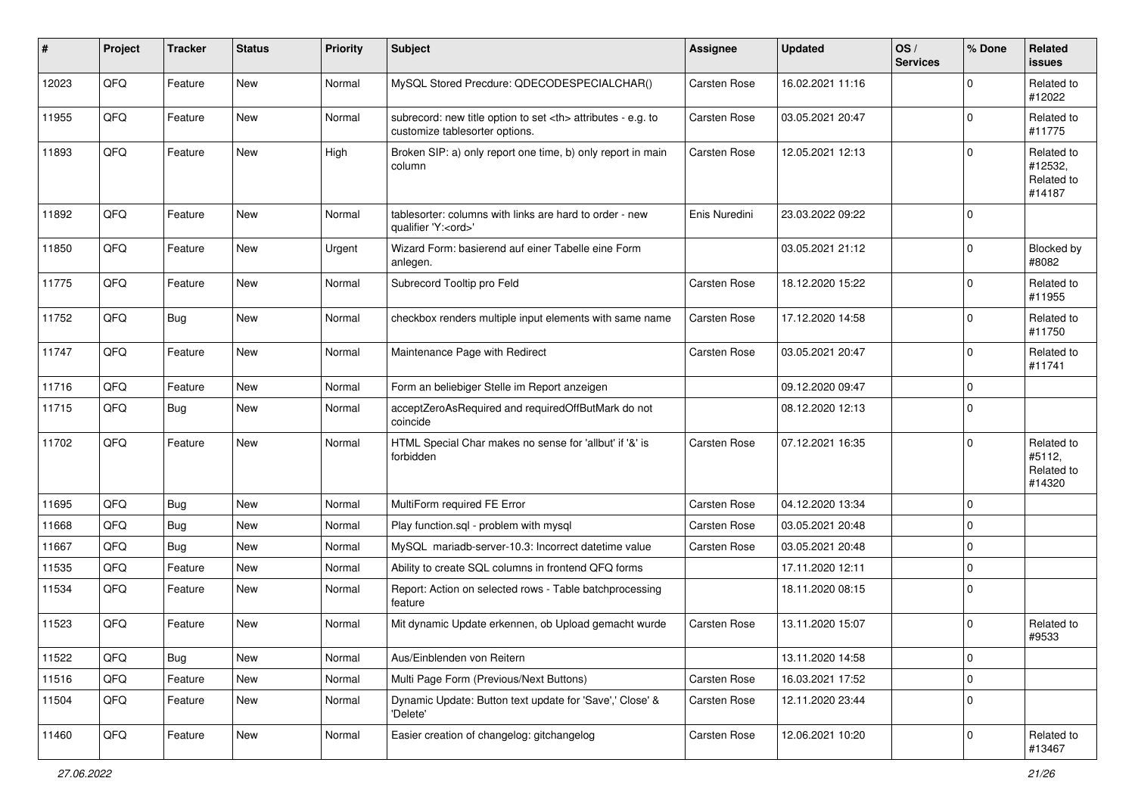| #     | Project | <b>Tracker</b> | <b>Status</b> | <b>Priority</b> | Subject                                                                                              | <b>Assignee</b>                                        | <b>Updated</b>      | OS/<br><b>Services</b> | % Done         | Related<br><b>issues</b>                      |                      |
|-------|---------|----------------|---------------|-----------------|------------------------------------------------------------------------------------------------------|--------------------------------------------------------|---------------------|------------------------|----------------|-----------------------------------------------|----------------------|
| 12023 | QFQ     | Feature        | <b>New</b>    | Normal          | MySQL Stored Precdure: QDECODESPECIALCHAR()                                                          | Carsten Rose                                           | 16.02.2021 11:16    |                        | $\mathbf 0$    | Related to<br>#12022                          |                      |
| 11955 | QFQ     | Feature        | New           | Normal          | subrecord: new title option to set <th> attributes - e.g. to<br/>customize tablesorter options.</th> | attributes - e.g. to<br>customize tablesorter options. | <b>Carsten Rose</b> | 03.05.2021 20:47       |                | $\mathbf 0$                                   | Related to<br>#11775 |
| 11893 | QFQ     | Feature        | <b>New</b>    | High            | Broken SIP: a) only report one time, b) only report in main<br>column                                | <b>Carsten Rose</b>                                    | 12.05.2021 12:13    |                        | $\Omega$       | Related to<br>#12532,<br>Related to<br>#14187 |                      |
| 11892 | QFQ     | Feature        | <b>New</b>    | Normal          | tablesorter: columns with links are hard to order - new<br>qualifier 'Y: <ord>'</ord>                | Enis Nuredini                                          | 23.03.2022 09:22    |                        | $\overline{0}$ |                                               |                      |
| 11850 | QFQ     | Feature        | <b>New</b>    | Urgent          | Wizard Form: basierend auf einer Tabelle eine Form<br>anlegen.                                       |                                                        | 03.05.2021 21:12    |                        | $\mathbf 0$    | Blocked by<br>#8082                           |                      |
| 11775 | QFQ     | Feature        | <b>New</b>    | Normal          | Subrecord Tooltip pro Feld                                                                           | Carsten Rose                                           | 18.12.2020 15:22    |                        | $\mathbf 0$    | Related to<br>#11955                          |                      |
| 11752 | QFQ     | <b>Bug</b>     | New           | Normal          | checkbox renders multiple input elements with same name                                              | <b>Carsten Rose</b>                                    | 17.12.2020 14:58    |                        | $\mathbf 0$    | Related to<br>#11750                          |                      |
| 11747 | QFQ     | Feature        | New           | Normal          | Maintenance Page with Redirect                                                                       | <b>Carsten Rose</b>                                    | 03.05.2021 20:47    |                        | $\mathbf 0$    | Related to<br>#11741                          |                      |
| 11716 | QFQ     | Feature        | New           | Normal          | Form an beliebiger Stelle im Report anzeigen                                                         |                                                        | 09.12.2020 09:47    |                        | $\Omega$       |                                               |                      |
| 11715 | QFQ     | <b>Bug</b>     | <b>New</b>    | Normal          | acceptZeroAsRequired and requiredOffButMark do not<br>coincide                                       |                                                        | 08.12.2020 12:13    |                        | $\overline{0}$ |                                               |                      |
| 11702 | QFQ     | Feature        | <b>New</b>    | Normal          | HTML Special Char makes no sense for 'allbut' if '&' is<br>forbidden                                 | <b>Carsten Rose</b>                                    | 07.12.2021 16:35    |                        | $\mathbf 0$    | Related to<br>#5112,<br>Related to<br>#14320  |                      |
| 11695 | QFQ     | <b>Bug</b>     | <b>New</b>    | Normal          | MultiForm required FE Error                                                                          | <b>Carsten Rose</b>                                    | 04.12.2020 13:34    |                        | $\mathbf 0$    |                                               |                      |
| 11668 | QFQ     | <b>Bug</b>     | <b>New</b>    | Normal          | Play function.sql - problem with mysql                                                               | <b>Carsten Rose</b>                                    | 03.05.2021 20:48    |                        | $\mathbf 0$    |                                               |                      |
| 11667 | QFQ     | Bug            | <b>New</b>    | Normal          | MySQL mariadb-server-10.3: Incorrect datetime value                                                  | Carsten Rose                                           | 03.05.2021 20:48    |                        | $\mathbf 0$    |                                               |                      |
| 11535 | QFQ     | Feature        | <b>New</b>    | Normal          | Ability to create SQL columns in frontend QFQ forms                                                  |                                                        | 17.11.2020 12:11    |                        | $\mathbf 0$    |                                               |                      |
| 11534 | QFQ     | Feature        | <b>New</b>    | Normal          | Report: Action on selected rows - Table batchprocessing<br>feature                                   |                                                        | 18.11.2020 08:15    |                        | $\mathbf 0$    |                                               |                      |
| 11523 | QFQ     | Feature        | <b>New</b>    | Normal          | Mit dynamic Update erkennen, ob Upload gemacht wurde                                                 | Carsten Rose                                           | 13.11.2020 15:07    |                        | $\mathbf 0$    | Related to<br>#9533                           |                      |
| 11522 | QFQ     | <b>Bug</b>     | New           | Normal          | Aus/Einblenden von Reitern                                                                           |                                                        | 13.11.2020 14:58    |                        | $\mathbf 0$    |                                               |                      |
| 11516 | QFQ     | Feature        | New           | Normal          | Multi Page Form (Previous/Next Buttons)                                                              | Carsten Rose                                           | 16.03.2021 17:52    |                        | $\mathbf 0$    |                                               |                      |
| 11504 | QFQ     | Feature        | New           | Normal          | Dynamic Update: Button text update for 'Save',' Close' &<br>'Delete'                                 | Carsten Rose                                           | 12.11.2020 23:44    |                        | $\mathbf 0$    |                                               |                      |
| 11460 | QFQ     | Feature        | New           | Normal          | Easier creation of changelog: gitchangelog                                                           | Carsten Rose                                           | 12.06.2021 10:20    |                        | $\mathbf 0$    | Related to<br>#13467                          |                      |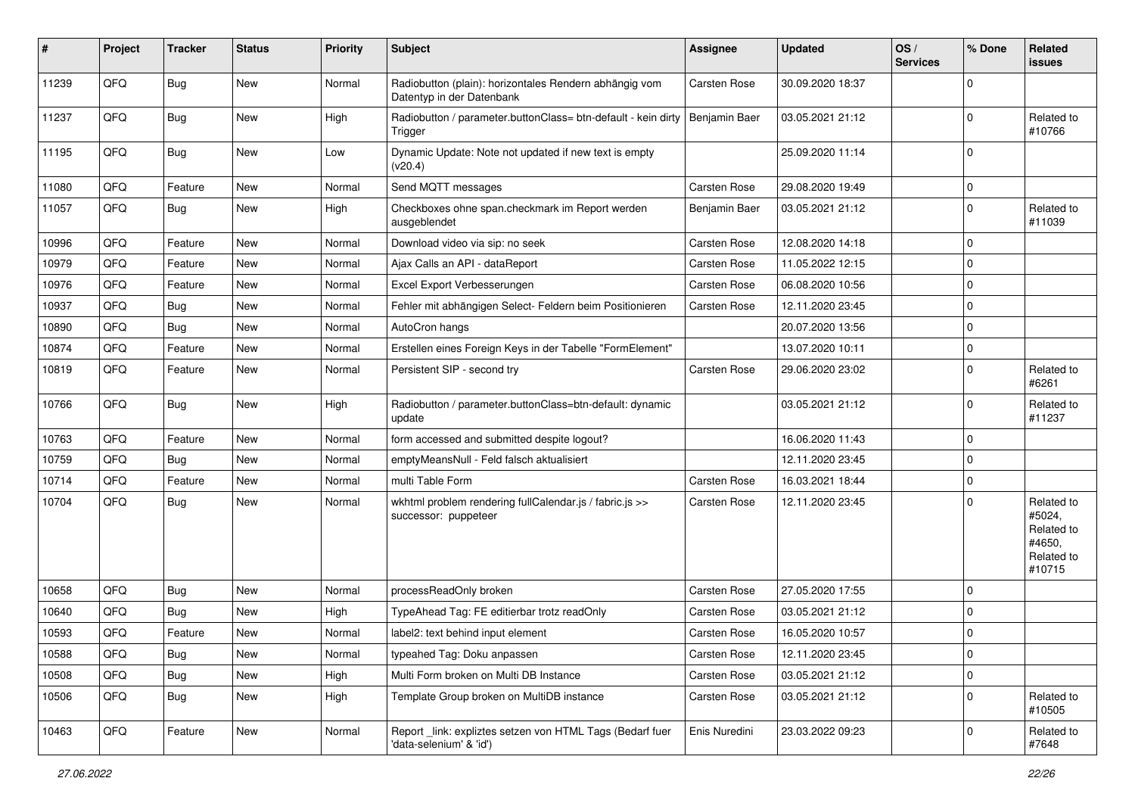| #     | Project | <b>Tracker</b> | <b>Status</b> | <b>Priority</b> | Subject                                                                              | <b>Assignee</b>     | <b>Updated</b>   | OS/<br><b>Services</b> | % Done         | Related<br><b>issues</b>                                             |
|-------|---------|----------------|---------------|-----------------|--------------------------------------------------------------------------------------|---------------------|------------------|------------------------|----------------|----------------------------------------------------------------------|
| 11239 | QFQ     | Bug            | <b>New</b>    | Normal          | Radiobutton (plain): horizontales Rendern abhängig vom<br>Datentyp in der Datenbank  | <b>Carsten Rose</b> | 30.09.2020 18:37 |                        | $\mathbf 0$    |                                                                      |
| 11237 | QFQ     | <b>Bug</b>     | New           | High            | Radiobutton / parameter.buttonClass= btn-default - kein dirty<br>Trigger             | Benjamin Baer       | 03.05.2021 21:12 |                        | $\mathbf 0$    | Related to<br>#10766                                                 |
| 11195 | QFQ     | Bug            | <b>New</b>    | Low             | Dynamic Update: Note not updated if new text is empty<br>(v20.4)                     |                     | 25.09.2020 11:14 |                        | $\Omega$       |                                                                      |
| 11080 | QFQ     | Feature        | <b>New</b>    | Normal          | Send MQTT messages                                                                   | <b>Carsten Rose</b> | 29.08.2020 19:49 |                        | $\mathbf 0$    |                                                                      |
| 11057 | QFQ     | Bug            | <b>New</b>    | High            | Checkboxes ohne span.checkmark im Report werden<br>ausgeblendet                      | Benjamin Baer       | 03.05.2021 21:12 |                        | $\Omega$       | Related to<br>#11039                                                 |
| 10996 | QFQ     | Feature        | <b>New</b>    | Normal          | Download video via sip: no seek                                                      | <b>Carsten Rose</b> | 12.08.2020 14:18 |                        | $\mathbf 0$    |                                                                      |
| 10979 | QFQ     | Feature        | <b>New</b>    | Normal          | Ajax Calls an API - dataReport                                                       | <b>Carsten Rose</b> | 11.05.2022 12:15 |                        | $\mathbf 0$    |                                                                      |
| 10976 | QFQ     | Feature        | <b>New</b>    | Normal          | Excel Export Verbesserungen                                                          | <b>Carsten Rose</b> | 06.08.2020 10:56 |                        | $\mathbf 0$    |                                                                      |
| 10937 | QFQ     | <b>Bug</b>     | <b>New</b>    | Normal          | Fehler mit abhängigen Select- Feldern beim Positionieren                             | <b>Carsten Rose</b> | 12.11.2020 23:45 |                        | $\mathbf 0$    |                                                                      |
| 10890 | QFQ     | Bug            | <b>New</b>    | Normal          | AutoCron hangs                                                                       |                     | 20.07.2020 13:56 |                        | $\overline{0}$ |                                                                      |
| 10874 | QFQ     | Feature        | <b>New</b>    | Normal          | Erstellen eines Foreign Keys in der Tabelle "FormElement"                            |                     | 13.07.2020 10:11 |                        | $\mathbf 0$    |                                                                      |
| 10819 | QFQ     | Feature        | New           | Normal          | Persistent SIP - second try                                                          | <b>Carsten Rose</b> | 29.06.2020 23:02 |                        | $\Omega$       | Related to<br>#6261                                                  |
| 10766 | QFQ     | Bug            | New           | High            | Radiobutton / parameter.buttonClass=btn-default: dynamic<br>update                   |                     | 03.05.2021 21:12 |                        | $\Omega$       | Related to<br>#11237                                                 |
| 10763 | QFQ     | Feature        | <b>New</b>    | Normal          | form accessed and submitted despite logout?                                          |                     | 16.06.2020 11:43 |                        | $\mathbf 0$    |                                                                      |
| 10759 | QFQ     | Bug            | <b>New</b>    | Normal          | emptyMeansNull - Feld falsch aktualisiert                                            |                     | 12.11.2020 23:45 |                        | $\Omega$       |                                                                      |
| 10714 | QFQ     | Feature        | <b>New</b>    | Normal          | multi Table Form                                                                     | <b>Carsten Rose</b> | 16.03.2021 18:44 |                        | $\mathbf 0$    |                                                                      |
| 10704 | QFQ     | Bug            | New           | Normal          | wkhtml problem rendering fullCalendar.js / fabric.js >><br>successor: puppeteer      | Carsten Rose        | 12.11.2020 23:45 |                        | $\mathbf 0$    | Related to<br>#5024,<br>Related to<br>#4650.<br>Related to<br>#10715 |
| 10658 | QFQ     | <b>Bug</b>     | New           | Normal          | processReadOnly broken                                                               | <b>Carsten Rose</b> | 27.05.2020 17:55 |                        | $\mathbf 0$    |                                                                      |
| 10640 | QFQ     | <b>Bug</b>     | <b>New</b>    | High            | TypeAhead Tag: FE editierbar trotz readOnly                                          | <b>Carsten Rose</b> | 03.05.2021 21:12 |                        | $\Omega$       |                                                                      |
| 10593 | QFQ     | Feature        | New           | Normal          | label2: text behind input element                                                    | <b>Carsten Rose</b> | 16.05.2020 10:57 |                        | $\mathbf 0$    |                                                                      |
| 10588 | QFQ     | Bug            | <b>New</b>    | Normal          | typeahed Tag: Doku anpassen                                                          | Carsten Rose        | 12.11.2020 23:45 |                        | $\mathbf 0$    |                                                                      |
| 10508 | QFQ     | Bug            | <b>New</b>    | High            | Multi Form broken on Multi DB Instance                                               | Carsten Rose        | 03.05.2021 21:12 |                        | $\mathbf 0$    |                                                                      |
| 10506 | QFQ     | <b>Bug</b>     | New           | High            | Template Group broken on MultiDB instance                                            | <b>Carsten Rose</b> | 03.05.2021 21:12 |                        | $\mathbf 0$    | Related to<br>#10505                                                 |
| 10463 | QFQ     | Feature        | New           | Normal          | Report _link: expliztes setzen von HTML Tags (Bedarf fuer<br>'data-selenium' & 'id') | Enis Nuredini       | 23.03.2022 09:23 |                        | $\mathbf 0$    | Related to<br>#7648                                                  |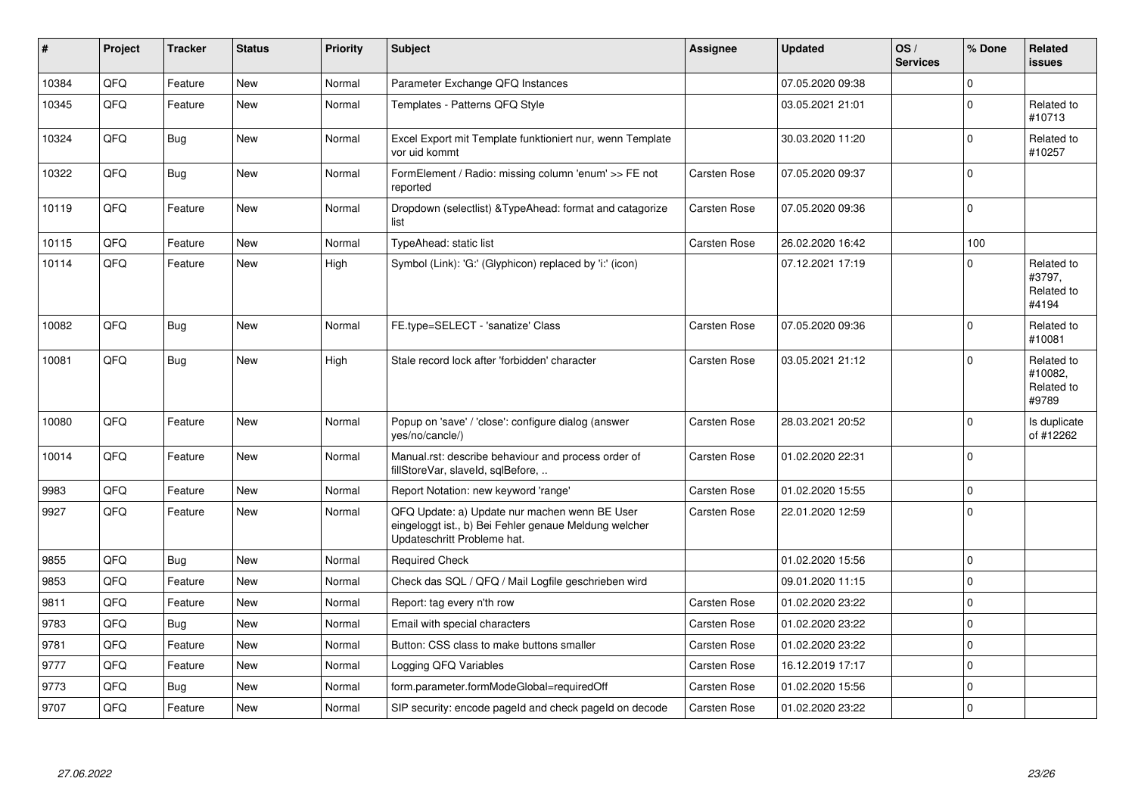| ∦     | Project | <b>Tracker</b> | <b>Status</b> | Priority | <b>Subject</b>                                                                                                                        | <b>Assignee</b>     | <b>Updated</b>   | OS/<br><b>Services</b> | % Done         | Related<br><b>issues</b>                     |
|-------|---------|----------------|---------------|----------|---------------------------------------------------------------------------------------------------------------------------------------|---------------------|------------------|------------------------|----------------|----------------------------------------------|
| 10384 | QFQ     | Feature        | New           | Normal   | Parameter Exchange QFQ Instances                                                                                                      |                     | 07.05.2020 09:38 |                        | $\mathbf 0$    |                                              |
| 10345 | QFQ     | Feature        | <b>New</b>    | Normal   | Templates - Patterns QFQ Style                                                                                                        |                     | 03.05.2021 21:01 |                        | $\mathbf 0$    | Related to<br>#10713                         |
| 10324 | QFQ     | <b>Bug</b>     | <b>New</b>    | Normal   | Excel Export mit Template funktioniert nur, wenn Template<br>vor uid kommt                                                            |                     | 30.03.2020 11:20 |                        | $\Omega$       | Related to<br>#10257                         |
| 10322 | QFQ     | <b>Bug</b>     | <b>New</b>    | Normal   | FormElement / Radio: missing column 'enum' >> FE not<br>reported                                                                      | <b>Carsten Rose</b> | 07.05.2020 09:37 |                        | $\overline{0}$ |                                              |
| 10119 | QFQ     | Feature        | New           | Normal   | Dropdown (selectlist) & TypeAhead: format and catagorize<br>list                                                                      | Carsten Rose        | 07.05.2020 09:36 |                        | $\mathbf 0$    |                                              |
| 10115 | QFQ     | Feature        | New           | Normal   | TypeAhead: static list                                                                                                                | <b>Carsten Rose</b> | 26.02.2020 16:42 |                        | 100            |                                              |
| 10114 | QFQ     | Feature        | <b>New</b>    | High     | Symbol (Link): 'G:' (Glyphicon) replaced by 'i:' (icon)                                                                               |                     | 07.12.2021 17:19 |                        | $\mathbf 0$    | Related to<br>#3797,<br>Related to<br>#4194  |
| 10082 | QFQ     | Bug            | <b>New</b>    | Normal   | FE.type=SELECT - 'sanatize' Class                                                                                                     | <b>Carsten Rose</b> | 07.05.2020 09:36 |                        | $\Omega$       | Related to<br>#10081                         |
| 10081 | QFQ     | <b>Bug</b>     | <b>New</b>    | High     | Stale record lock after 'forbidden' character                                                                                         | <b>Carsten Rose</b> | 03.05.2021 21:12 |                        | $\mathbf 0$    | Related to<br>#10082,<br>Related to<br>#9789 |
| 10080 | QFQ     | Feature        | New           | Normal   | Popup on 'save' / 'close': configure dialog (answer<br>yes/no/cancle/)                                                                | <b>Carsten Rose</b> | 28.03.2021 20:52 |                        | $\Omega$       | Is duplicate<br>of #12262                    |
| 10014 | QFQ     | Feature        | New           | Normal   | Manual.rst: describe behaviour and process order of<br>fillStoreVar, slaveId, sqlBefore,                                              | <b>Carsten Rose</b> | 01.02.2020 22:31 |                        | $\mathbf 0$    |                                              |
| 9983  | QFQ     | Feature        | New           | Normal   | Report Notation: new keyword 'range'                                                                                                  | <b>Carsten Rose</b> | 01.02.2020 15:55 |                        | $\mathbf 0$    |                                              |
| 9927  | QFQ     | Feature        | New           | Normal   | QFQ Update: a) Update nur machen wenn BE User<br>eingeloggt ist., b) Bei Fehler genaue Meldung welcher<br>Updateschritt Probleme hat. | <b>Carsten Rose</b> | 22.01.2020 12:59 |                        | $\Omega$       |                                              |
| 9855  | QFQ     | <b>Bug</b>     | <b>New</b>    | Normal   | <b>Required Check</b>                                                                                                                 |                     | 01.02.2020 15:56 |                        | $\mathbf{0}$   |                                              |
| 9853  | QFQ     | Feature        | New           | Normal   | Check das SQL / QFQ / Mail Logfile geschrieben wird                                                                                   |                     | 09.01.2020 11:15 |                        | $\pmb{0}$      |                                              |
| 9811  | QFQ     | Feature        | New           | Normal   | Report: tag every n'th row                                                                                                            | <b>Carsten Rose</b> | 01.02.2020 23:22 |                        | $\Omega$       |                                              |
| 9783  | QFQ     | Bug            | <b>New</b>    | Normal   | Email with special characters                                                                                                         | <b>Carsten Rose</b> | 01.02.2020 23:22 |                        | $\mathbf{0}$   |                                              |
| 9781  | QFQ     | Feature        | <b>New</b>    | Normal   | Button: CSS class to make buttons smaller                                                                                             | <b>Carsten Rose</b> | 01.02.2020 23:22 |                        | $\mathbf{0}$   |                                              |
| 9777  | QFQ     | Feature        | New           | Normal   | Logging QFQ Variables                                                                                                                 | Carsten Rose        | 16.12.2019 17:17 |                        | $\pmb{0}$      |                                              |
| 9773  | QFQ     | Bug            | <b>New</b>    | Normal   | form.parameter.formModeGlobal=requiredOff                                                                                             | <b>Carsten Rose</b> | 01.02.2020 15:56 |                        | $\overline{0}$ |                                              |
| 9707  | QFQ     | Feature        | New           | Normal   | SIP security: encode pageld and check pageld on decode                                                                                | <b>Carsten Rose</b> | 01.02.2020 23:22 |                        | $\mathbf{0}$   |                                              |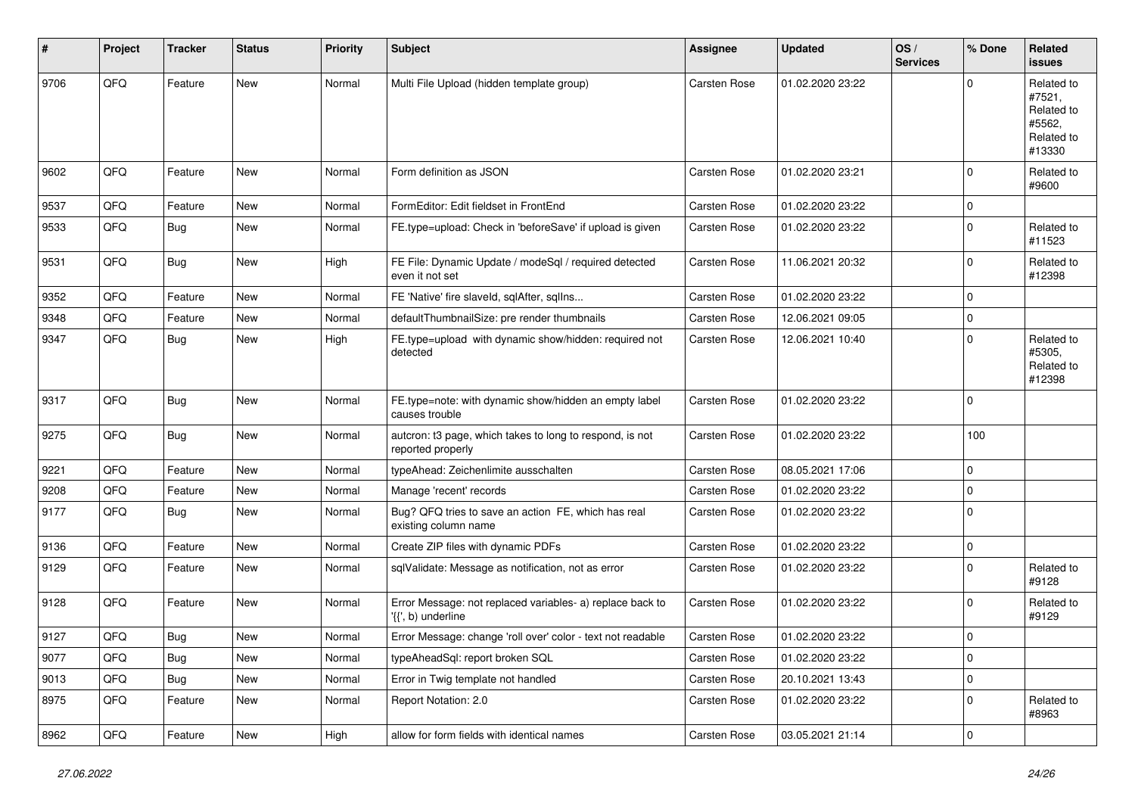| $\vert$ # | Project        | <b>Tracker</b> | <b>Status</b> | Priority | Subject                                                                         | <b>Assignee</b>     | <b>Updated</b>   | OS/<br><b>Services</b> | % Done      | Related<br><b>issues</b>                                             |
|-----------|----------------|----------------|---------------|----------|---------------------------------------------------------------------------------|---------------------|------------------|------------------------|-------------|----------------------------------------------------------------------|
| 9706      | QFQ            | Feature        | <b>New</b>    | Normal   | Multi File Upload (hidden template group)                                       | <b>Carsten Rose</b> | 01.02.2020 23:22 |                        | $\Omega$    | Related to<br>#7521,<br>Related to<br>#5562,<br>Related to<br>#13330 |
| 9602      | QFQ            | Feature        | <b>New</b>    | Normal   | Form definition as JSON                                                         | <b>Carsten Rose</b> | 01.02.2020 23:21 |                        | $\mathbf 0$ | Related to<br>#9600                                                  |
| 9537      | QFQ            | Feature        | <b>New</b>    | Normal   | FormEditor: Edit fieldset in FrontEnd                                           | <b>Carsten Rose</b> | 01.02.2020 23:22 |                        | $\mathbf 0$ |                                                                      |
| 9533      | QFQ            | Bug            | <b>New</b>    | Normal   | FE.type=upload: Check in 'beforeSave' if upload is given                        | <b>Carsten Rose</b> | 01.02.2020 23:22 |                        | $\mathbf 0$ | Related to<br>#11523                                                 |
| 9531      | QFQ            | <b>Bug</b>     | <b>New</b>    | High     | FE File: Dynamic Update / modeSql / required detected<br>even it not set        | <b>Carsten Rose</b> | 11.06.2021 20:32 |                        | $\mathbf 0$ | Related to<br>#12398                                                 |
| 9352      | QFQ            | Feature        | New           | Normal   | FE 'Native' fire slaveld, sqlAfter, sqlIns                                      | <b>Carsten Rose</b> | 01.02.2020 23:22 |                        | $\mathbf 0$ |                                                                      |
| 9348      | QFQ            | Feature        | <b>New</b>    | Normal   | defaultThumbnailSize: pre render thumbnails                                     | <b>Carsten Rose</b> | 12.06.2021 09:05 |                        | $\mathbf 0$ |                                                                      |
| 9347      | QFQ            | Bug            | New           | High     | FE.type=upload with dynamic show/hidden: required not<br>detected               | Carsten Rose        | 12.06.2021 10:40 |                        | $\Omega$    | Related to<br>#5305,<br>Related to<br>#12398                         |
| 9317      | QFQ            | Bug            | <b>New</b>    | Normal   | FE.type=note: with dynamic show/hidden an empty label<br>causes trouble         | <b>Carsten Rose</b> | 01.02.2020 23:22 |                        | $\Omega$    |                                                                      |
| 9275      | QFQ            | <b>Bug</b>     | <b>New</b>    | Normal   | autcron: t3 page, which takes to long to respond, is not<br>reported properly   | Carsten Rose        | 01.02.2020 23:22 |                        | 100         |                                                                      |
| 9221      | QFQ            | Feature        | New           | Normal   | typeAhead: Zeichenlimite ausschalten                                            | <b>Carsten Rose</b> | 08.05.2021 17:06 |                        | $\mathbf 0$ |                                                                      |
| 9208      | QFQ            | Feature        | New           | Normal   | Manage 'recent' records                                                         | <b>Carsten Rose</b> | 01.02.2020 23:22 |                        | $\mathbf 0$ |                                                                      |
| 9177      | QFQ            | Bug            | <b>New</b>    | Normal   | Bug? QFQ tries to save an action FE, which has real<br>existing column name     | Carsten Rose        | 01.02.2020 23:22 |                        | $\mathbf 0$ |                                                                      |
| 9136      | QFQ            | Feature        | <b>New</b>    | Normal   | Create ZIP files with dynamic PDFs                                              | Carsten Rose        | 01.02.2020 23:22 |                        | $\mathbf 0$ |                                                                      |
| 9129      | QFQ            | Feature        | <b>New</b>    | Normal   | sqlValidate: Message as notification, not as error                              | Carsten Rose        | 01.02.2020 23:22 |                        | $\Omega$    | Related to<br>#9128                                                  |
| 9128      | QFQ            | Feature        | New           | Normal   | Error Message: not replaced variables- a) replace back to<br>'{{', b) underline | <b>Carsten Rose</b> | 01.02.2020 23:22 |                        | $\mathbf 0$ | Related to<br>#9129                                                  |
| 9127      | QFQ            | Bug            | New           | Normal   | Error Message: change 'roll over' color - text not readable                     | <b>Carsten Rose</b> | 01.02.2020 23:22 |                        | $\Omega$    |                                                                      |
| 9077      | QFQ            | <b>Bug</b>     | New           | Normal   | typeAheadSql: report broken SQL                                                 | Carsten Rose        | 01.02.2020 23:22 |                        | $\mathbf 0$ |                                                                      |
| 9013      | QFQ            | <b>Bug</b>     | New           | Normal   | Error in Twig template not handled                                              | Carsten Rose        | 20.10.2021 13:43 |                        | $\mathbf 0$ |                                                                      |
| 8975      | QFQ            | Feature        | New           | Normal   | Report Notation: 2.0                                                            | Carsten Rose        | 01.02.2020 23:22 |                        | $\mathbf 0$ | Related to<br>#8963                                                  |
| 8962      | $\mathsf{QFQ}$ | Feature        | New           | High     | allow for form fields with identical names                                      | Carsten Rose        | 03.05.2021 21:14 |                        | 0           |                                                                      |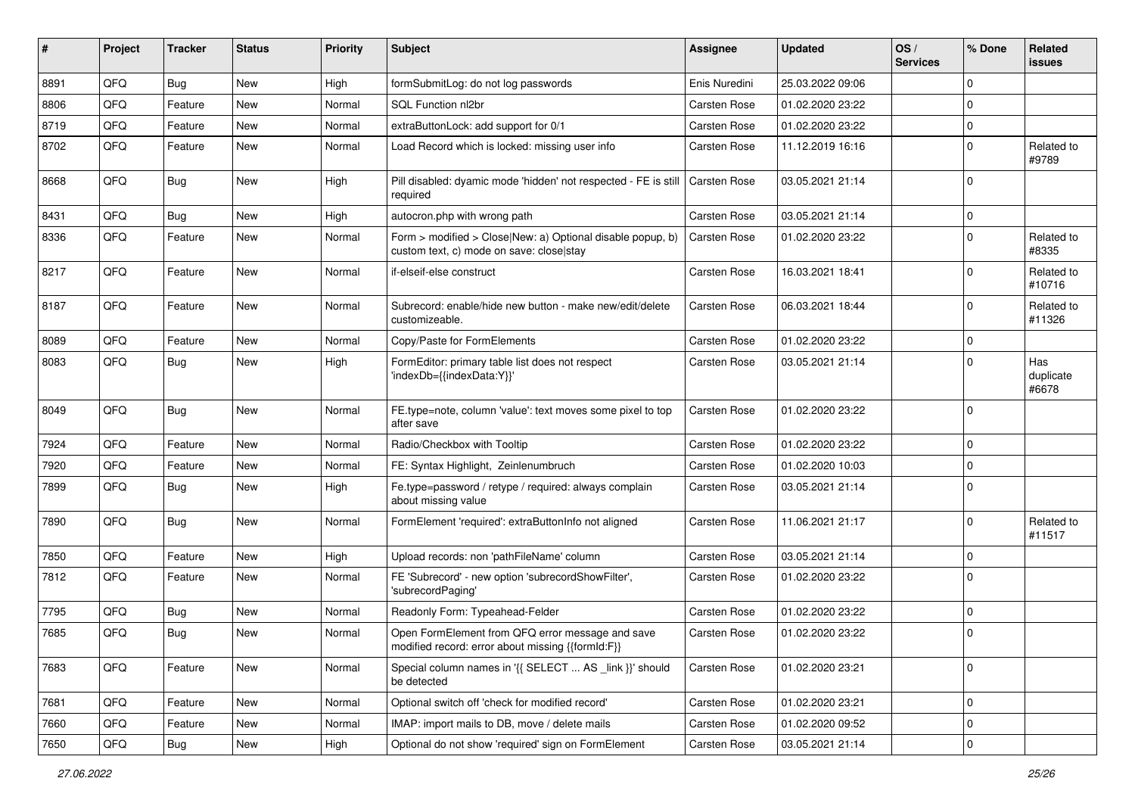| ∦    | Project | <b>Tracker</b> | <b>Status</b> | <b>Priority</b> | <b>Subject</b>                                                                                         | <b>Assignee</b>     | <b>Updated</b>   | OS/<br><b>Services</b> | % Done         | Related<br><b>issues</b>  |
|------|---------|----------------|---------------|-----------------|--------------------------------------------------------------------------------------------------------|---------------------|------------------|------------------------|----------------|---------------------------|
| 8891 | QFQ     | Bug            | New           | High            | formSubmitLog: do not log passwords                                                                    | Enis Nuredini       | 25.03.2022 09:06 |                        | $\mathbf 0$    |                           |
| 8806 | QFQ     | Feature        | <b>New</b>    | Normal          | SQL Function nl2br                                                                                     | <b>Carsten Rose</b> | 01.02.2020 23:22 |                        | $\mathbf 0$    |                           |
| 8719 | QFQ     | Feature        | <b>New</b>    | Normal          | extraButtonLock: add support for 0/1                                                                   | <b>Carsten Rose</b> | 01.02.2020 23:22 |                        | $\mathbf 0$    |                           |
| 8702 | QFQ     | Feature        | <b>New</b>    | Normal          | Load Record which is locked: missing user info                                                         | Carsten Rose        | 11.12.2019 16:16 |                        | $\mathbf 0$    | Related to<br>#9789       |
| 8668 | QFQ     | Bug            | <b>New</b>    | High            | Pill disabled: dyamic mode 'hidden' not respected - FE is still<br>required                            | <b>Carsten Rose</b> | 03.05.2021 21:14 |                        | $\Omega$       |                           |
| 8431 | QFQ     | Bug            | <b>New</b>    | High            | autocron.php with wrong path                                                                           | <b>Carsten Rose</b> | 03.05.2021 21:14 |                        | $\mathbf 0$    |                           |
| 8336 | QFQ     | Feature        | <b>New</b>    | Normal          | Form > modified > Close New: a) Optional disable popup, b)<br>custom text, c) mode on save: close stay | Carsten Rose        | 01.02.2020 23:22 |                        | $\mathbf 0$    | Related to<br>#8335       |
| 8217 | QFQ     | Feature        | <b>New</b>    | Normal          | if-elseif-else construct                                                                               | <b>Carsten Rose</b> | 16.03.2021 18:41 |                        | $\mathbf 0$    | Related to<br>#10716      |
| 8187 | QFQ     | Feature        | New           | Normal          | Subrecord: enable/hide new button - make new/edit/delete<br>customizeable.                             | <b>Carsten Rose</b> | 06.03.2021 18:44 |                        | $\Omega$       | Related to<br>#11326      |
| 8089 | QFQ     | Feature        | <b>New</b>    | Normal          | Copy/Paste for FormElements                                                                            | <b>Carsten Rose</b> | 01.02.2020 23:22 |                        | $\mathbf 0$    |                           |
| 8083 | QFQ     | <b>Bug</b>     | <b>New</b>    | High            | FormEditor: primary table list does not respect<br>'indexDb={{indexData:Y}}'                           | <b>Carsten Rose</b> | 03.05.2021 21:14 |                        | $\mathbf 0$    | Has<br>duplicate<br>#6678 |
| 8049 | QFQ     | Bug            | <b>New</b>    | Normal          | FE.type=note, column 'value': text moves some pixel to top<br>after save                               | <b>Carsten Rose</b> | 01.02.2020 23:22 |                        | $\overline{0}$ |                           |
| 7924 | QFQ     | Feature        | <b>New</b>    | Normal          | Radio/Checkbox with Tooltip                                                                            | <b>Carsten Rose</b> | 01.02.2020 23:22 |                        | $\mathbf 0$    |                           |
| 7920 | QFQ     | Feature        | New           | Normal          | FE: Syntax Highlight, Zeinlenumbruch                                                                   | <b>Carsten Rose</b> | 01.02.2020 10:03 |                        | $\mathbf 0$    |                           |
| 7899 | QFQ     | Bug            | <b>New</b>    | High            | Fe.type=password / retype / required: always complain<br>about missing value                           | <b>Carsten Rose</b> | 03.05.2021 21:14 |                        | $\overline{0}$ |                           |
| 7890 | QFQ     | <b>Bug</b>     | <b>New</b>    | Normal          | FormElement 'required': extraButtonInfo not aligned                                                    | <b>Carsten Rose</b> | 11.06.2021 21:17 |                        | $\overline{0}$ | Related to<br>#11517      |
| 7850 | QFQ     | Feature        | <b>New</b>    | High            | Upload records: non 'pathFileName' column                                                              | <b>Carsten Rose</b> | 03.05.2021 21:14 |                        | $\mathbf 0$    |                           |
| 7812 | QFQ     | Feature        | <b>New</b>    | Normal          | FE 'Subrecord' - new option 'subrecordShowFilter',<br>'subrecordPaging'                                | <b>Carsten Rose</b> | 01.02.2020 23:22 |                        | $\Omega$       |                           |
| 7795 | QFQ     | Bug            | <b>New</b>    | Normal          | Readonly Form: Typeahead-Felder                                                                        | <b>Carsten Rose</b> | 01.02.2020 23:22 |                        | $\mathbf 0$    |                           |
| 7685 | QFQ     | <b>Bug</b>     | New           | Normal          | Open FormElement from QFQ error message and save<br>modified record: error about missing {{formId:F}}  | <b>Carsten Rose</b> | 01.02.2020 23:22 |                        | $\mathbf 0$    |                           |
| 7683 | QFQ     | Feature        | New           | Normal          | Special column names in '{{ SELECT  AS _link }}' should<br>be detected                                 | Carsten Rose        | 01.02.2020 23:21 |                        | $\mathbf 0$    |                           |
| 7681 | QFQ     | Feature        | New           | Normal          | Optional switch off 'check for modified record'                                                        | Carsten Rose        | 01.02.2020 23:21 |                        | $\mathbf 0$    |                           |
| 7660 | QFQ     | Feature        | New           | Normal          | IMAP: import mails to DB, move / delete mails                                                          | Carsten Rose        | 01.02.2020 09:52 |                        | $\mathbf 0$    |                           |
| 7650 | QFQ     | Bug            | New           | High            | Optional do not show 'required' sign on FormElement                                                    | Carsten Rose        | 03.05.2021 21:14 |                        | $\mathbf 0$    |                           |